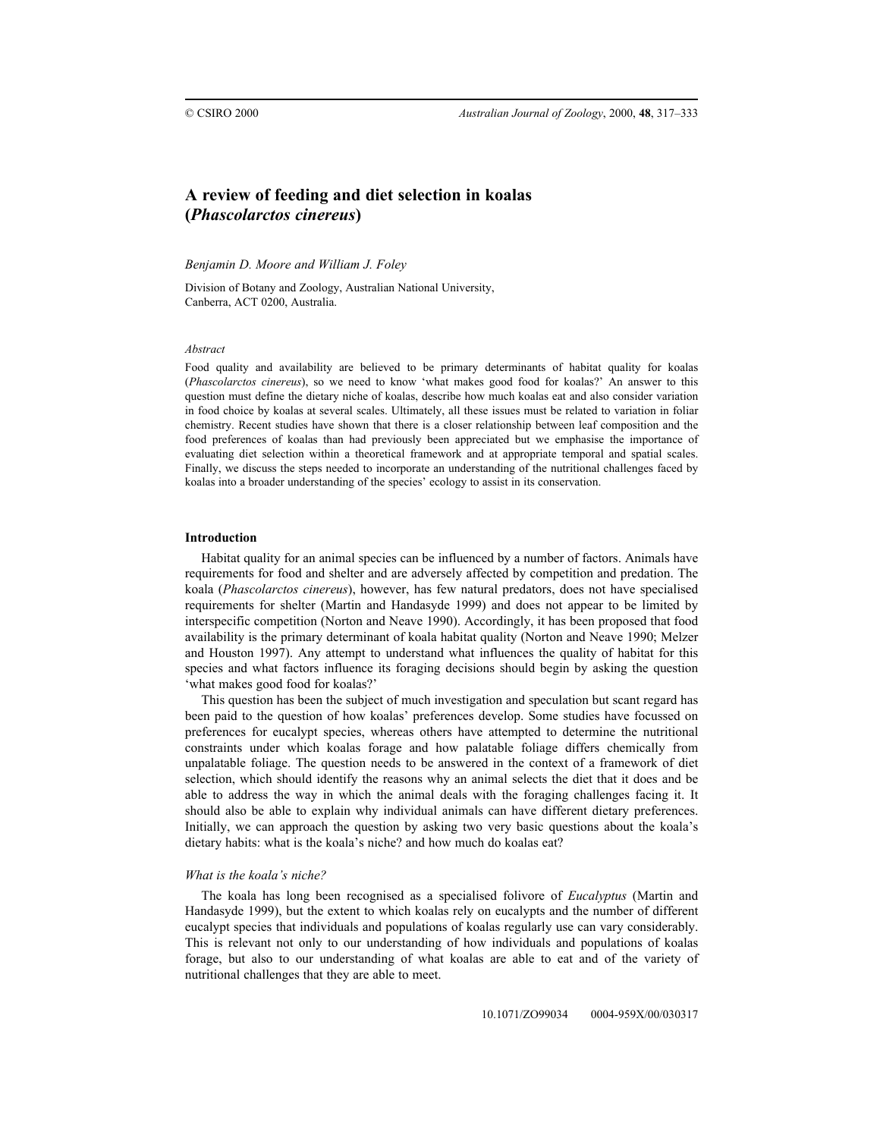# **A review of feeding and diet selection in koalas (***Phascolarctos cinereus***)**

*Benjamin D. Moore and William J. Foley*

Division of Botany and Zoology, Australian National University, Canberra, ACT 0200, Australia.

## *Abstract*

Food quality and availability are believed to be primary determinants of habitat quality for koalas (*Phascolarctos cinereus*), so we need to know 'what makes good food for koalas?' An answer to this question must define the dietary niche of koalas, describe how much koalas eat and also consider variation in food choice by koalas at several scales. Ultimately, all these issues must be related to variation in foliar chemistry. Recent studies have shown that there is a closer relationship between leaf composition and the food preferences of koalas than had previously been appreciated but we emphasise the importance of evaluating diet selection within a theoretical framework and at appropriate temporal and spatial scales. Finally, we discuss the steps needed to incorporate an understanding of the nutritional challenges faced by koalas into a broader understanding of the species' ecology to assist in its conservation.

## **Introduction**

Habitat quality for an animal species can be influenced by a number of factors. Animals have requirements for food and shelter and are adversely affected by competition and predation. The koala (*Phascolarctos cinereus*), however, has few natural predators, does not have specialised requirements for shelter (Martin and Handasyde 1999) and does not appear to be limited by interspecific competition (Norton and Neave 1990). Accordingly, it has been proposed that food availability is the primary determinant of koala habitat quality (Norton and Neave 1990; Melzer and Houston 1997). Any attempt to understand what influences the quality of habitat for this species and what factors influence its foraging decisions should begin by asking the question 'what makes good food for koalas?'

This question has been the subject of much investigation and speculation but scant regard has been paid to the question of how koalas' preferences develop. Some studies have focussed on preferences for eucalypt species, whereas others have attempted to determine the nutritional constraints under which koalas forage and how palatable foliage differs chemically from unpalatable foliage. The question needs to be answered in the context of a framework of diet selection, which should identify the reasons why an animal selects the diet that it does and be able to address the way in which the animal deals with the foraging challenges facing it. It should also be able to explain why individual animals can have different dietary preferences. Initially, we can approach the question by asking two very basic questions about the koala's dietary habits: what is the koala's niche? and how much do koalas eat?

#### *What is the koala's niche?*

The koala has long been recognised as a specialised folivore of *Eucalyptus* (Martin and Handasyde 1999), but the extent to which koalas rely on eucalypts and the number of different eucalypt species that individuals and populations of koalas regularly use can vary considerably. This is relevant not only to our understanding of how individuals and populations of koalas forage, but also to our understanding of what koalas are able to eat and of the variety of nutritional challenges that they are able to meet.

10.1071/ZO99034 0004-959X/00/030317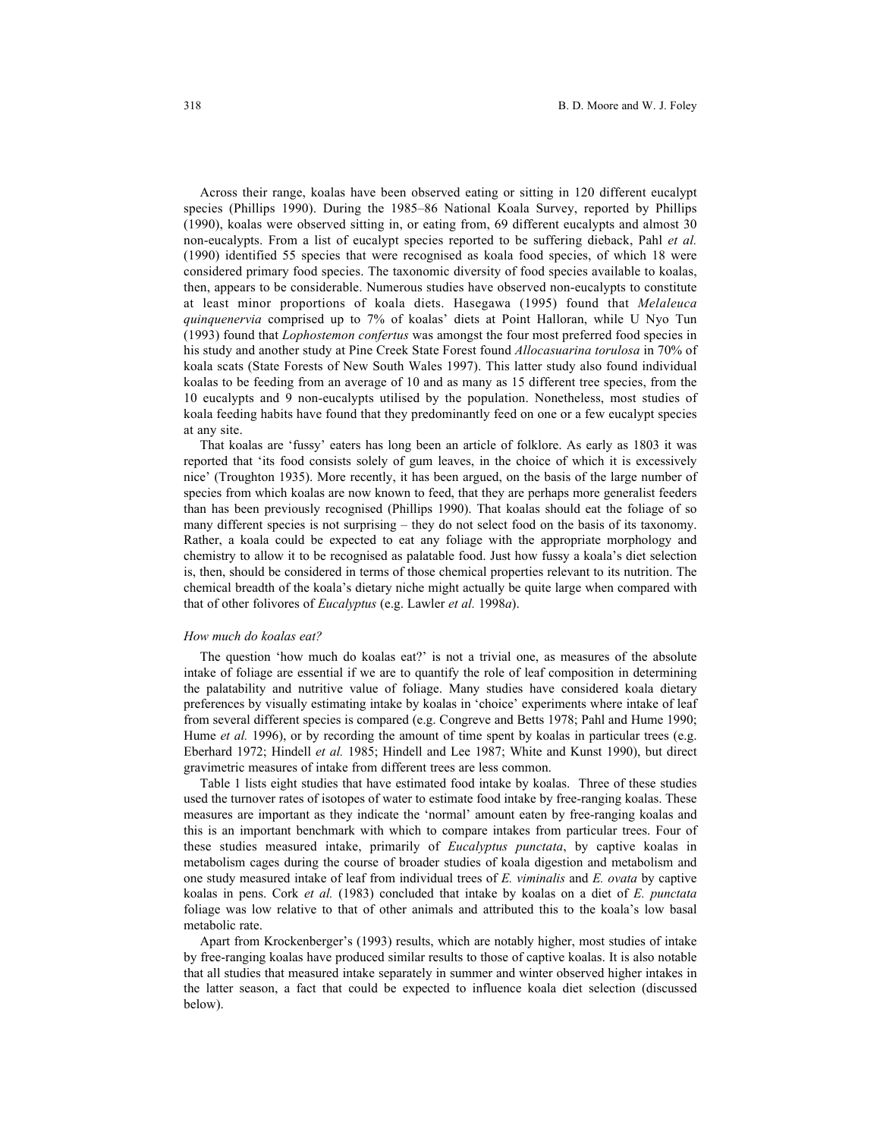Across their range, koalas have been observed eating or sitting in 120 different eucalypt species (Phillips 1990). During the 1985–86 National Koala Survey, reported by Phillips (1990), koalas were observed sitting in, or eating from, 69 different eucalypts and almost 30 non-eucalypts. From a list of eucalypt species reported to be suffering dieback, Pahl *et al.* (1990) identified 55 species that were recognised as koala food species, of which 18 were considered primary food species. The taxonomic diversity of food species available to koalas, then, appears to be considerable. Numerous studies have observed non-eucalypts to constitute at least minor proportions of koala diets. Hasegawa (1995) found that *Melaleuca quinquenervia* comprised up to 7% of koalas' diets at Point Halloran, while U Nyo Tun (1993) found that *Lophostemon confertus* was amongst the four most preferred food species in his study and another study at Pine Creek State Forest found *Allocasuarina torulosa* in 70% of koala scats (State Forests of New South Wales 1997). This latter study also found individual koalas to be feeding from an average of 10 and as many as 15 different tree species, from the 10 eucalypts and 9 non-eucalypts utilised by the population. Nonetheless, most studies of koala feeding habits have found that they predominantly feed on one or a few eucalypt species at any site.

That koalas are 'fussy' eaters has long been an article of folklore. As early as 1803 it was reported that 'its food consists solely of gum leaves, in the choice of which it is excessively nice' (Troughton 1935). More recently, it has been argued, on the basis of the large number of species from which koalas are now known to feed, that they are perhaps more generalist feeders than has been previously recognised (Phillips 1990). That koalas should eat the foliage of so many different species is not surprising – they do not select food on the basis of its taxonomy. Rather, a koala could be expected to eat any foliage with the appropriate morphology and chemistry to allow it to be recognised as palatable food. Just how fussy a koala's diet selection is, then, should be considered in terms of those chemical properties relevant to its nutrition. The chemical breadth of the koala's dietary niche might actually be quite large when compared with that of other folivores of *Eucalyptus* (e.g. Lawler *et al.* 1998*a*).

#### *How much do koalas eat?*

The question 'how much do koalas eat?' is not a trivial one, as measures of the absolute intake of foliage are essential if we are to quantify the role of leaf composition in determining the palatability and nutritive value of foliage. Many studies have considered koala dietary preferences by visually estimating intake by koalas in 'choice' experiments where intake of leaf from several different species is compared (e.g. Congreve and Betts 1978; Pahl and Hume 1990; Hume *et al.* 1996), or by recording the amount of time spent by koalas in particular trees (e.g. Eberhard 1972; Hindell *et al.* 1985; Hindell and Lee 1987; White and Kunst 1990), but direct gravimetric measures of intake from different trees are less common.

Table 1 lists eight studies that have estimated food intake by koalas. Three of these studies used the turnover rates of isotopes of water to estimate food intake by free-ranging koalas. These measures are important as they indicate the 'normal' amount eaten by free-ranging koalas and this is an important benchmark with which to compare intakes from particular trees. Four of these studies measured intake, primarily of *Eucalyptus punctata*, by captive koalas in metabolism cages during the course of broader studies of koala digestion and metabolism and one study measured intake of leaf from individual trees of *E. viminalis* and *E. ovata* by captive koalas in pens. Cork *et al.* (1983) concluded that intake by koalas on a diet of *E. punctata* foliage was low relative to that of other animals and attributed this to the koala's low basal metabolic rate.

Apart from Krockenberger's (1993) results, which are notably higher, most studies of intake by free-ranging koalas have produced similar results to those of captive koalas. It is also notable that all studies that measured intake separately in summer and winter observed higher intakes in the latter season, a fact that could be expected to influence koala diet selection (discussed below).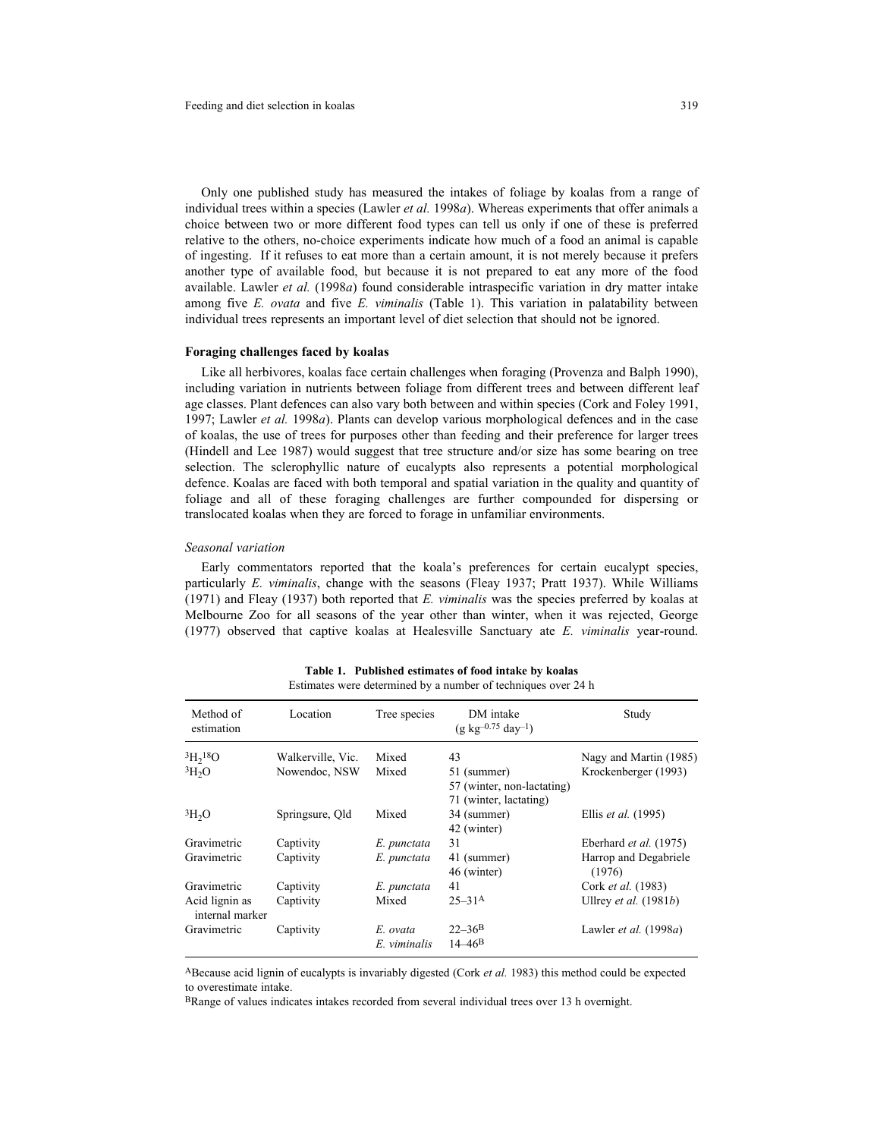Only one published study has measured the intakes of foliage by koalas from a range of individual trees within a species (Lawler *et al.* 1998*a*). Whereas experiments that offer animals a choice between two or more different food types can tell us only if one of these is preferred relative to the others, no-choice experiments indicate how much of a food an animal is capable of ingesting. If it refuses to eat more than a certain amount, it is not merely because it prefers another type of available food, but because it is not prepared to eat any more of the food available. Lawler *et al.* (1998*a*) found considerable intraspecific variation in dry matter intake among five *E. ovata* and five *E. viminalis* (Table 1). This variation in palatability between individual trees represents an important level of diet selection that should not be ignored.

## **Foraging challenges faced by koalas**

Like all herbivores, koalas face certain challenges when foraging (Provenza and Balph 1990), including variation in nutrients between foliage from different trees and between different leaf age classes. Plant defences can also vary both between and within species (Cork and Foley 1991, 1997; Lawler *et al.* 1998*a*). Plants can develop various morphological defences and in the case of koalas, the use of trees for purposes other than feeding and their preference for larger trees (Hindell and Lee 1987) would suggest that tree structure and/or size has some bearing on tree selection. The sclerophyllic nature of eucalypts also represents a potential morphological defence. Koalas are faced with both temporal and spatial variation in the quality and quantity of foliage and all of these foraging challenges are further compounded for dispersing or translocated koalas when they are forced to forage in unfamiliar environments.

#### *Seasonal variation*

Early commentators reported that the koala's preferences for certain eucalypt species, particularly *E. viminalis*, change with the seasons (Fleay 1937; Pratt 1937). While Williams (1971) and Fleay (1937) both reported that *E. viminalis* was the species preferred by koalas at Melbourne Zoo for all seasons of the year other than winter, when it was rejected, George (1977) observed that captive koalas at Healesville Sanctuary ate *E. viminalis* year-round.

| Method of<br>estimation           | Location          | Tree species             | DM intake<br>$(g \text{ kg}^{-0.75} \text{ day}^{-1})$              | Study                           |
|-----------------------------------|-------------------|--------------------------|---------------------------------------------------------------------|---------------------------------|
| ${}^{3}H_{2}{}^{18}O$             | Walkerville, Vic. | Mixed                    | 43                                                                  | Nagy and Martin (1985)          |
| ${}^{3}H_{2}O$                    | Nowendoc, NSW     | Mixed                    | 51 (summer)<br>57 (winter, non-lactating)<br>71 (winter, lactating) | Krockenberger (1993)            |
| ${}^{3}H_{2}O$                    | Springsure, Old   | Mixed                    | 34 (summer)<br>42 (winter)                                          | Ellis <i>et al.</i> (1995)      |
| Gravimetric                       | Captivity         | E. punctata              | 31                                                                  | Eberhard et al. (1975)          |
| Gravimetric                       | Captivity         | E. punctata              | 41 (summer)<br>46 (winter)                                          | Harrop and Degabriele<br>(1976) |
| Gravimetric                       | Captivity         | E. punctata              | 41                                                                  | Cork et al. (1983)              |
| Acid lignin as<br>internal marker | Captivity         | Mixed                    | $25 - 31$ <sup>A</sup>                                              | Ullrey <i>et al.</i> $(1981b)$  |
| Gravimetric                       | Captivity         | E. ovata<br>E. viminalis | $22 - 36B$<br>$14 - 46B$                                            | Lawler <i>et al.</i> $(1998a)$  |

**Table 1. Published estimates of food intake by koalas** Estimates were determined by a number of techniques over 24 h

ABecause acid lignin of eucalypts is invariably digested (Cork *et al.* 1983) this method could be expected to overestimate intake.

BRange of values indicates intakes recorded from several individual trees over 13 h overnight.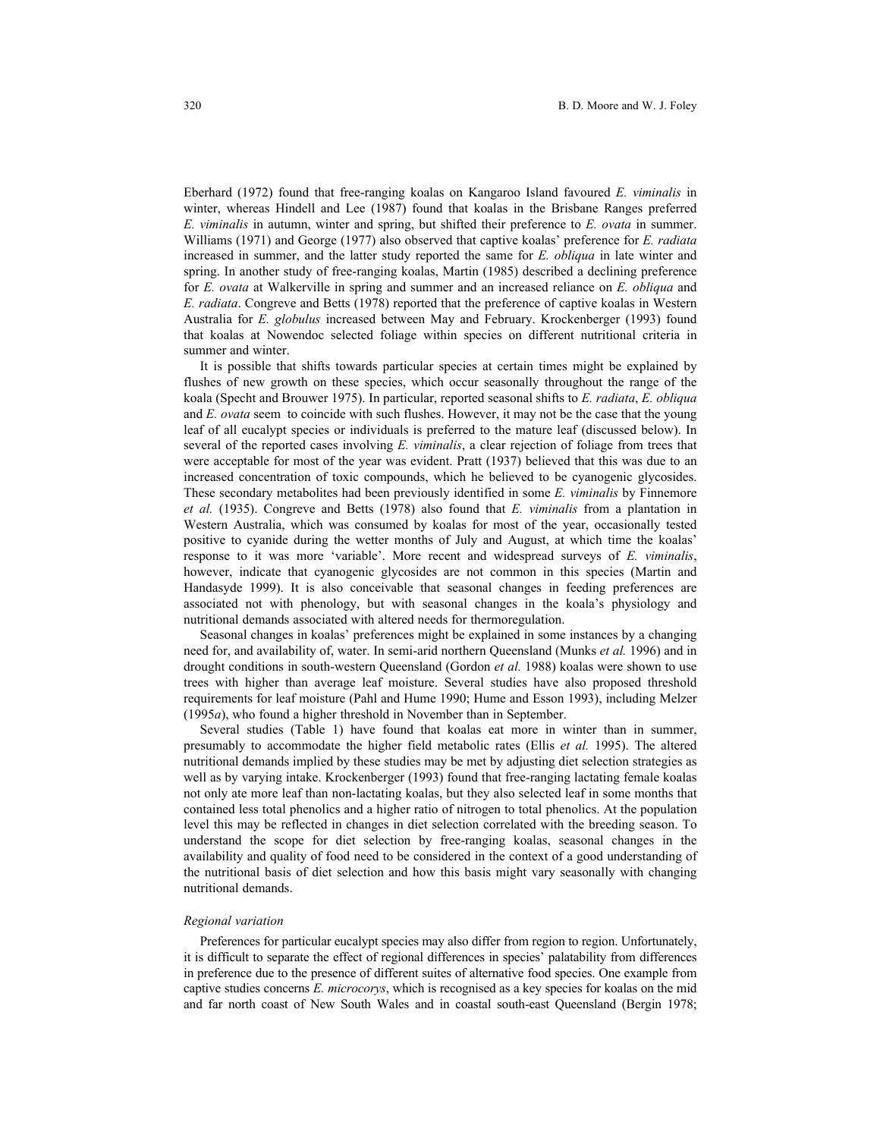Eberhard (1972) found that free-ranging koalas on Kangaroo Island favoured *E. viminalis* in winter, whereas Hindell and Lee (1987) found that koalas in the Brisbane Ranges preferred *E. viminalis* in autumn, winter and spring, but shifted their preference to *E. ovata* in summer. Williams (1971) and George (1977) also observed that captive koalas' preference for *E. radiata* increased in summer, and the latter study reported the same for *E. obliqua* in late winter and spring. In another study of free-ranging koalas, Martin (1985) described a declining preference for *E. ovata* at Walkerville in spring and summer and an increased reliance on *E. obliqua* and *E. radiata*. Congreve and Betts (1978) reported that the preference of captive koalas in Western Australia for *E. globulus* increased between May and February. Krockenberger (1993) found that koalas at Nowendoc selected foliage within species on different nutritional criteria in summer and winter.

It is possible that shifts towards particular species at certain times might be explained by flushes of new growth on these species, which occur seasonally throughout the range of the koala (Specht and Brouwer 1975). In particular, reported seasonal shifts to *E. radiata*, *E. obliqua* and *E. ovata* seem to coincide with such flushes. However, it may not be the case that the young leaf of all eucalypt species or individuals is preferred to the mature leaf (discussed below). In several of the reported cases involving *E. viminalis*, a clear rejection of foliage from trees that were acceptable for most of the year was evident. Pratt (1937) believed that this was due to an increased concentration of toxic compounds, which he believed to be cyanogenic glycosides. These secondary metabolites had been previously identified in some *E. viminalis* by Finnemore *et al.* (1935). Congreve and Betts (1978) also found that *E. viminalis* from a plantation in Western Australia, which was consumed by koalas for most of the year, occasionally tested positive to cyanide during the wetter months of July and August, at which time the koalas' response to it was more 'variable'. More recent and widespread surveys of *E. viminalis*, however, indicate that cyanogenic glycosides are not common in this species (Martin and Handasyde 1999). It is also conceivable that seasonal changes in feeding preferences are associated not with phenology, but with seasonal changes in the koala's physiology and nutritional demands associated with altered needs for thermoregulation.

Seasonal changes in koalas' preferences might be explained in some instances by a changing need for, and availability of, water. In semi-arid northern Queensland (Munks *et al.* 1996) and in drought conditions in south-western Queensland (Gordon *et al.* 1988) koalas were shown to use trees with higher than average leaf moisture. Several studies have also proposed threshold requirements for leaf moisture (Pahl and Hume 1990; Hume and Esson 1993), including Melzer (1995*a*), who found a higher threshold in November than in September.

Several studies (Table 1) have found that koalas eat more in winter than in summer, presumably to accommodate the higher field metabolic rates (Ellis *et al.* 1995). The altered nutritional demands implied by these studies may be met by adjusting diet selection strategies as well as by varying intake. Krockenberger (1993) found that free-ranging lactating female koalas not only ate more leaf than non-lactating koalas, but they also selected leaf in some months that contained less total phenolics and a higher ratio of nitrogen to total phenolics. At the population level this may be reflected in changes in diet selection correlated with the breeding season. To understand the scope for diet selection by free-ranging koalas, seasonal changes in the availability and quality of food need to be considered in the context of a good understanding of the nutritional basis of diet selection and how this basis might vary seasonally with changing nutritional demands.

## *Regional variation*

Preferences for particular eucalypt species may also differ from region to region. Unfortunately, it is difficult to separate the effect of regional differences in species' palatability from differences in preference due to the presence of different suites of alternative food species. One example from captive studies concerns *E. microcorys*, which is recognised as a key species for koalas on the mid and far north coast of New South Wales and in coastal south-east Queensland (Bergin 1978;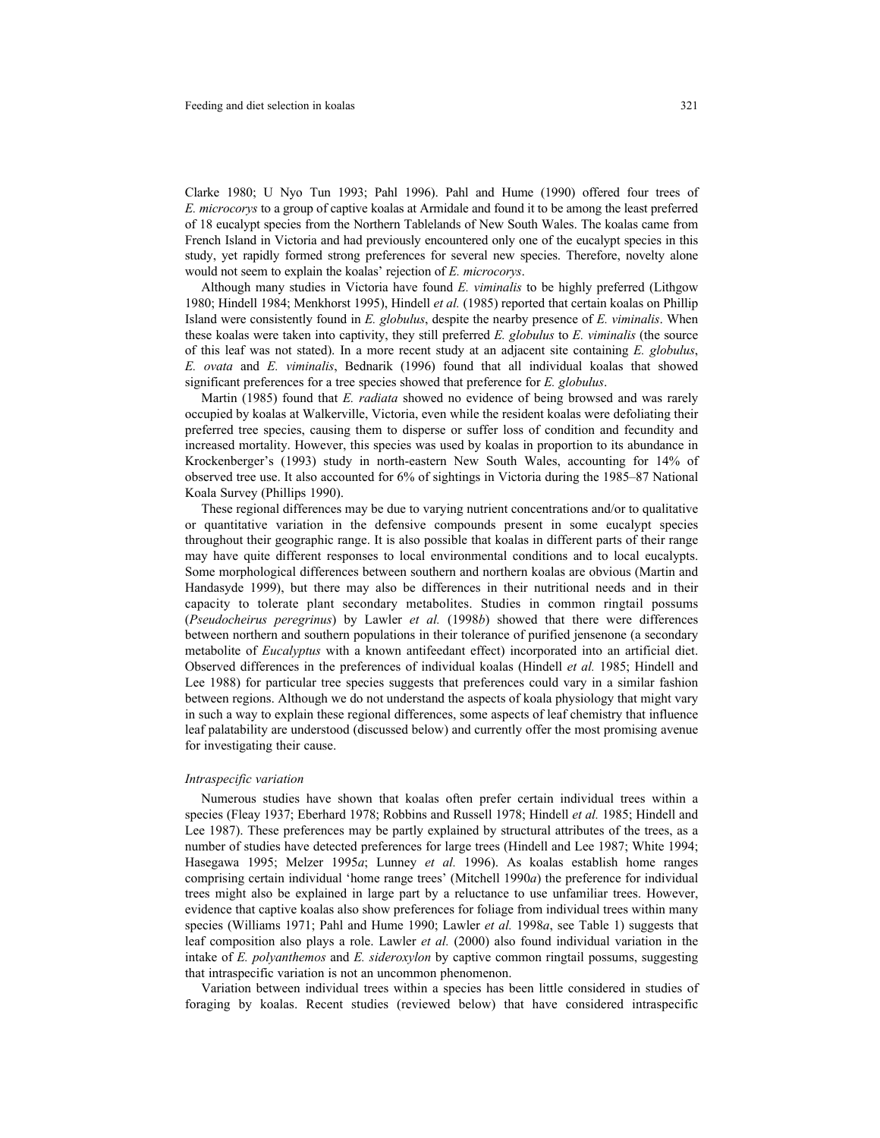Clarke 1980; U Nyo Tun 1993; Pahl 1996). Pahl and Hume (1990) offered four trees of *E. microcorys* to a group of captive koalas at Armidale and found it to be among the least preferred of 18 eucalypt species from the Northern Tablelands of New South Wales. The koalas came from French Island in Victoria and had previously encountered only one of the eucalypt species in this study, yet rapidly formed strong preferences for several new species. Therefore, novelty alone would not seem to explain the koalas' rejection of *E. microcorys*.

Although many studies in Victoria have found *E. viminalis* to be highly preferred (Lithgow 1980; Hindell 1984; Menkhorst 1995), Hindell *et al.* (1985) reported that certain koalas on Phillip Island were consistently found in *E. globulus*, despite the nearby presence of *E. viminalis*. When these koalas were taken into captivity, they still preferred *E. globulus* to *E. viminalis* (the source of this leaf was not stated). In a more recent study at an adjacent site containing *E. globulus*, *E. ovata* and *E. viminalis*, Bednarik (1996) found that all individual koalas that showed significant preferences for a tree species showed that preference for *E. globulus*.

Martin (1985) found that *E. radiata* showed no evidence of being browsed and was rarely occupied by koalas at Walkerville, Victoria, even while the resident koalas were defoliating their preferred tree species, causing them to disperse or suffer loss of condition and fecundity and increased mortality. However, this species was used by koalas in proportion to its abundance in Krockenberger's (1993) study in north-eastern New South Wales, accounting for 14% of observed tree use. It also accounted for 6% of sightings in Victoria during the 1985–87 National Koala Survey (Phillips 1990).

These regional differences may be due to varying nutrient concentrations and/or to qualitative or quantitative variation in the defensive compounds present in some eucalypt species throughout their geographic range. It is also possible that koalas in different parts of their range may have quite different responses to local environmental conditions and to local eucalypts. Some morphological differences between southern and northern koalas are obvious (Martin and Handasyde 1999), but there may also be differences in their nutritional needs and in their capacity to tolerate plant secondary metabolites. Studies in common ringtail possums (*Pseudocheirus peregrinus*) by Lawler *et al.* (1998*b*) showed that there were differences between northern and southern populations in their tolerance of purified jensenone (a secondary metabolite of *Eucalyptus* with a known antifeedant effect) incorporated into an artificial diet. Observed differences in the preferences of individual koalas (Hindell *et al.* 1985; Hindell and Lee 1988) for particular tree species suggests that preferences could vary in a similar fashion between regions. Although we do not understand the aspects of koala physiology that might vary in such a way to explain these regional differences, some aspects of leaf chemistry that influence leaf palatability are understood (discussed below) and currently offer the most promising avenue for investigating their cause.

## *Intraspecific variation*

Numerous studies have shown that koalas often prefer certain individual trees within a species (Fleay 1937; Eberhard 1978; Robbins and Russell 1978; Hindell *et al.* 1985; Hindell and Lee 1987). These preferences may be partly explained by structural attributes of the trees, as a number of studies have detected preferences for large trees (Hindell and Lee 1987; White 1994; Hasegawa 1995; Melzer 1995*a*; Lunney *et al.* 1996). As koalas establish home ranges comprising certain individual 'home range trees' (Mitchell 1990*a*) the preference for individual trees might also be explained in large part by a reluctance to use unfamiliar trees. However, evidence that captive koalas also show preferences for foliage from individual trees within many species (Williams 1971; Pahl and Hume 1990; Lawler *et al.* 1998*a*, see Table 1) suggests that leaf composition also plays a role. Lawler *et al.* (2000) also found individual variation in the intake of *E. polyanthemos* and *E. sideroxylon* by captive common ringtail possums, suggesting that intraspecific variation is not an uncommon phenomenon.

Variation between individual trees within a species has been little considered in studies of foraging by koalas. Recent studies (reviewed below) that have considered intraspecific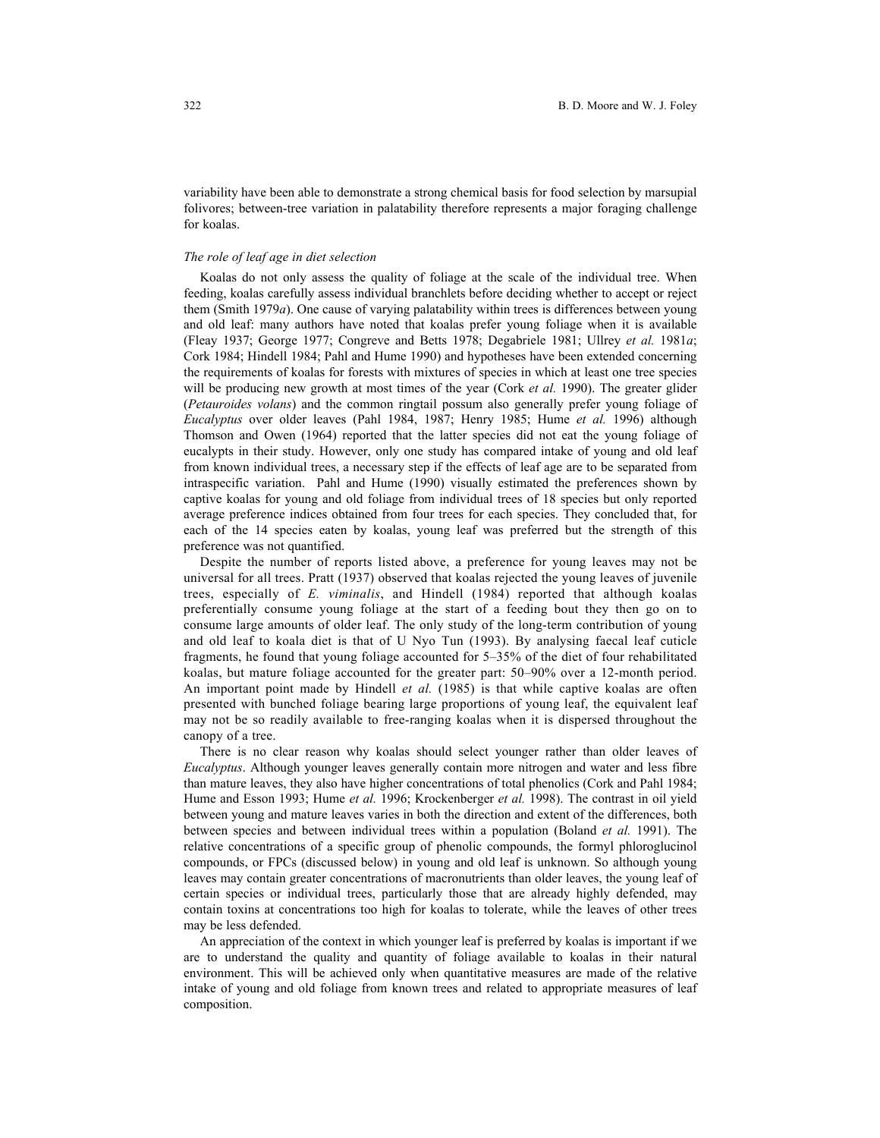variability have been able to demonstrate a strong chemical basis for food selection by marsupial folivores; between-tree variation in palatability therefore represents a major foraging challenge for koalas.

#### *The role of leaf age in diet selection*

Koalas do not only assess the quality of foliage at the scale of the individual tree. When feeding, koalas carefully assess individual branchlets before deciding whether to accept or reject them (Smith 1979*a*). One cause of varying palatability within trees is differences between young and old leaf: many authors have noted that koalas prefer young foliage when it is available (Fleay 1937; George 1977; Congreve and Betts 1978; Degabriele 1981; Ullrey *et al.* 1981*a*; Cork 1984; Hindell 1984; Pahl and Hume 1990) and hypotheses have been extended concerning the requirements of koalas for forests with mixtures of species in which at least one tree species will be producing new growth at most times of the year (Cork *et al.* 1990). The greater glider (*Petauroides volans*) and the common ringtail possum also generally prefer young foliage of *Eucalyptus* over older leaves (Pahl 1984, 1987; Henry 1985; Hume *et al.* 1996) although Thomson and Owen (1964) reported that the latter species did not eat the young foliage of eucalypts in their study. However, only one study has compared intake of young and old leaf from known individual trees, a necessary step if the effects of leaf age are to be separated from intraspecific variation. Pahl and Hume (1990) visually estimated the preferences shown by captive koalas for young and old foliage from individual trees of 18 species but only reported average preference indices obtained from four trees for each species. They concluded that, for each of the 14 species eaten by koalas, young leaf was preferred but the strength of this preference was not quantified.

Despite the number of reports listed above, a preference for young leaves may not be universal for all trees. Pratt (1937) observed that koalas rejected the young leaves of juvenile trees, especially of *E. viminalis*, and Hindell (1984) reported that although koalas preferentially consume young foliage at the start of a feeding bout they then go on to consume large amounts of older leaf. The only study of the long-term contribution of young and old leaf to koala diet is that of U Nyo Tun (1993). By analysing faecal leaf cuticle fragments, he found that young foliage accounted for 5–35% of the diet of four rehabilitated koalas, but mature foliage accounted for the greater part: 50–90% over a 12-month period. An important point made by Hindell *et al.* (1985) is that while captive koalas are often presented with bunched foliage bearing large proportions of young leaf, the equivalent leaf may not be so readily available to free-ranging koalas when it is dispersed throughout the canopy of a tree.

There is no clear reason why koalas should select younger rather than older leaves of *Eucalyptus*. Although younger leaves generally contain more nitrogen and water and less fibre than mature leaves, they also have higher concentrations of total phenolics (Cork and Pahl 1984; Hume and Esson 1993; Hume *et al.* 1996; Krockenberger *et al.* 1998). The contrast in oil yield between young and mature leaves varies in both the direction and extent of the differences, both between species and between individual trees within a population (Boland *et al.* 1991). The relative concentrations of a specific group of phenolic compounds, the formyl phloroglucinol compounds, or FPCs (discussed below) in young and old leaf is unknown. So although young leaves may contain greater concentrations of macronutrients than older leaves, the young leaf of certain species or individual trees, particularly those that are already highly defended, may contain toxins at concentrations too high for koalas to tolerate, while the leaves of other trees may be less defended.

An appreciation of the context in which younger leaf is preferred by koalas is important if we are to understand the quality and quantity of foliage available to koalas in their natural environment. This will be achieved only when quantitative measures are made of the relative intake of young and old foliage from known trees and related to appropriate measures of leaf composition.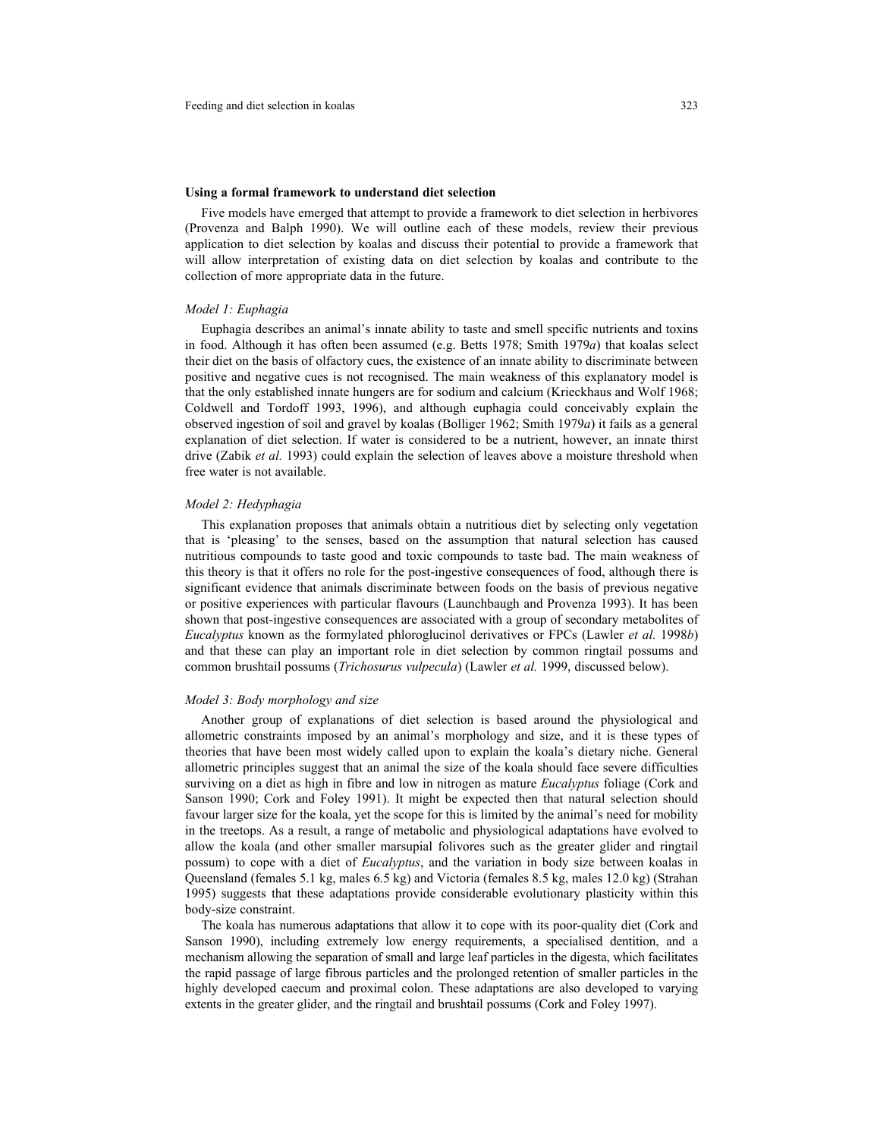#### **Using a formal framework to understand diet selection**

Five models have emerged that attempt to provide a framework to diet selection in herbivores (Provenza and Balph 1990). We will outline each of these models, review their previous application to diet selection by koalas and discuss their potential to provide a framework that will allow interpretation of existing data on diet selection by koalas and contribute to the collection of more appropriate data in the future.

## *Model 1: Euphagia*

Euphagia describes an animal's innate ability to taste and smell specific nutrients and toxins in food. Although it has often been assumed (e.g. Betts 1978; Smith 1979*a*) that koalas select their diet on the basis of olfactory cues, the existence of an innate ability to discriminate between positive and negative cues is not recognised. The main weakness of this explanatory model is that the only established innate hungers are for sodium and calcium (Krieckhaus and Wolf 1968; Coldwell and Tordoff 1993, 1996), and although euphagia could conceivably explain the observed ingestion of soil and gravel by koalas (Bolliger 1962; Smith 1979*a*) it fails as a general explanation of diet selection. If water is considered to be a nutrient, however, an innate thirst drive (Zabik *et al.* 1993) could explain the selection of leaves above a moisture threshold when free water is not available.

# *Model 2: Hedyphagia*

This explanation proposes that animals obtain a nutritious diet by selecting only vegetation that is 'pleasing' to the senses, based on the assumption that natural selection has caused nutritious compounds to taste good and toxic compounds to taste bad. The main weakness of this theory is that it offers no role for the post-ingestive consequences of food, although there is significant evidence that animals discriminate between foods on the basis of previous negative or positive experiences with particular flavours (Launchbaugh and Provenza 1993). It has been shown that post-ingestive consequences are associated with a group of secondary metabolites of *Eucalyptus* known as the formylated phloroglucinol derivatives or FPCs (Lawler *et al.* 1998*b*) and that these can play an important role in diet selection by common ringtail possums and common brushtail possums (*Trichosurus vulpecula*) (Lawler *et al.* 1999, discussed below).

## *Model 3: Body morphology and size*

Another group of explanations of diet selection is based around the physiological and allometric constraints imposed by an animal's morphology and size, and it is these types of theories that have been most widely called upon to explain the koala's dietary niche. General allometric principles suggest that an animal the size of the koala should face severe difficulties surviving on a diet as high in fibre and low in nitrogen as mature *Eucalyptus* foliage (Cork and Sanson 1990; Cork and Foley 1991). It might be expected then that natural selection should favour larger size for the koala, yet the scope for this is limited by the animal's need for mobility in the treetops. As a result, a range of metabolic and physiological adaptations have evolved to allow the koala (and other smaller marsupial folivores such as the greater glider and ringtail possum) to cope with a diet of *Eucalyptus*, and the variation in body size between koalas in Queensland (females 5.1 kg, males 6.5 kg) and Victoria (females 8.5 kg, males 12.0 kg) (Strahan 1995) suggests that these adaptations provide considerable evolutionary plasticity within this body-size constraint.

The koala has numerous adaptations that allow it to cope with its poor-quality diet (Cork and Sanson 1990), including extremely low energy requirements, a specialised dentition, and a mechanism allowing the separation of small and large leaf particles in the digesta, which facilitates the rapid passage of large fibrous particles and the prolonged retention of smaller particles in the highly developed caecum and proximal colon. These adaptations are also developed to varying extents in the greater glider, and the ringtail and brushtail possums (Cork and Foley 1997).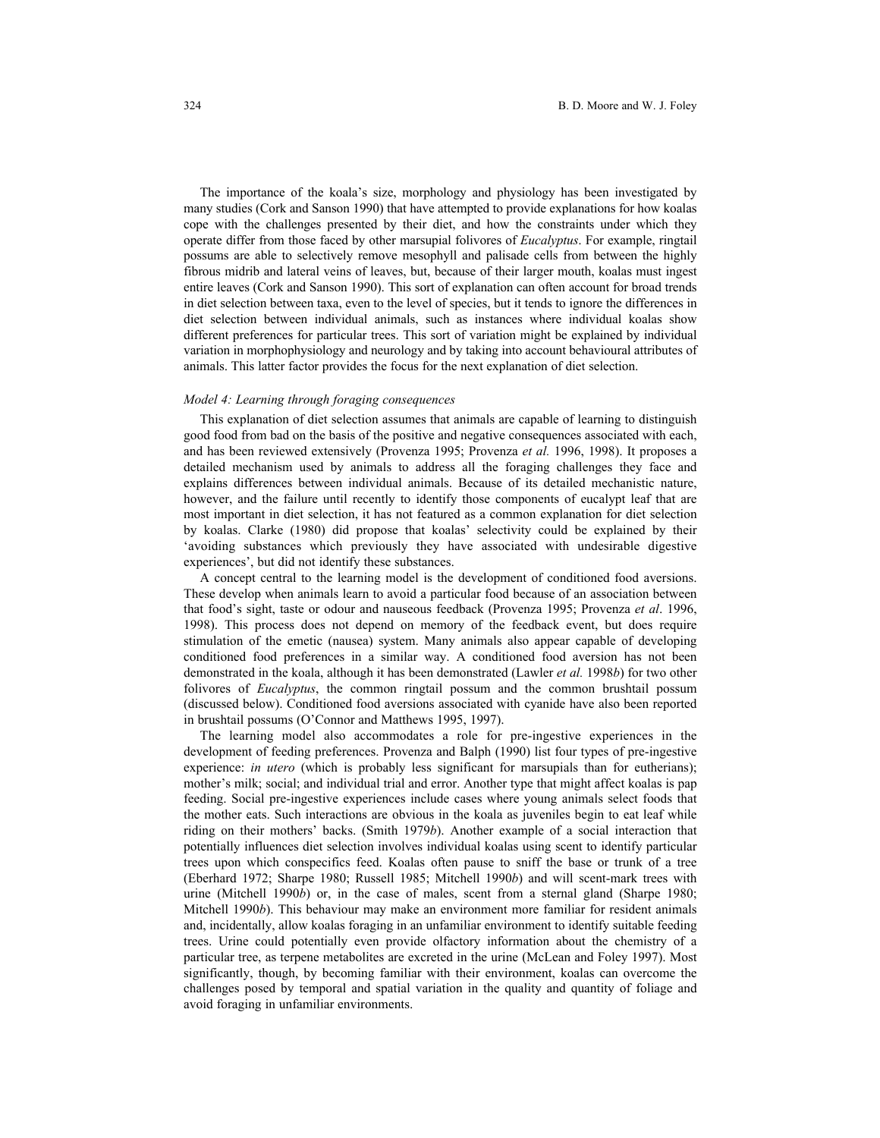The importance of the koala's size, morphology and physiology has been investigated by many studies (Cork and Sanson 1990) that have attempted to provide explanations for how koalas cope with the challenges presented by their diet, and how the constraints under which they operate differ from those faced by other marsupial folivores of *Eucalyptus*. For example, ringtail possums are able to selectively remove mesophyll and palisade cells from between the highly fibrous midrib and lateral veins of leaves, but, because of their larger mouth, koalas must ingest entire leaves (Cork and Sanson 1990). This sort of explanation can often account for broad trends in diet selection between taxa, even to the level of species, but it tends to ignore the differences in diet selection between individual animals, such as instances where individual koalas show different preferences for particular trees. This sort of variation might be explained by individual variation in morphophysiology and neurology and by taking into account behavioural attributes of animals. This latter factor provides the focus for the next explanation of diet selection.

## *Model 4: Learning through foraging consequences*

This explanation of diet selection assumes that animals are capable of learning to distinguish good food from bad on the basis of the positive and negative consequences associated with each, and has been reviewed extensively (Provenza 1995; Provenza *et al.* 1996, 1998). It proposes a detailed mechanism used by animals to address all the foraging challenges they face and explains differences between individual animals. Because of its detailed mechanistic nature, however, and the failure until recently to identify those components of eucalypt leaf that are most important in diet selection, it has not featured as a common explanation for diet selection by koalas. Clarke (1980) did propose that koalas' selectivity could be explained by their 'avoiding substances which previously they have associated with undesirable digestive experiences', but did not identify these substances.

A concept central to the learning model is the development of conditioned food aversions. These develop when animals learn to avoid a particular food because of an association between that food's sight, taste or odour and nauseous feedback (Provenza 1995; Provenza *et al*. 1996, 1998). This process does not depend on memory of the feedback event, but does require stimulation of the emetic (nausea) system. Many animals also appear capable of developing conditioned food preferences in a similar way. A conditioned food aversion has not been demonstrated in the koala, although it has been demonstrated (Lawler *et al.* 1998*b*) for two other folivores of *Eucalyptus*, the common ringtail possum and the common brushtail possum (discussed below). Conditioned food aversions associated with cyanide have also been reported in brushtail possums (O'Connor and Matthews 1995, 1997).

The learning model also accommodates a role for pre-ingestive experiences in the development of feeding preferences. Provenza and Balph (1990) list four types of pre-ingestive experience: *in utero* (which is probably less significant for marsupials than for eutherians); mother's milk; social; and individual trial and error. Another type that might affect koalas is pap feeding. Social pre-ingestive experiences include cases where young animals select foods that the mother eats. Such interactions are obvious in the koala as juveniles begin to eat leaf while riding on their mothers' backs. (Smith 1979*b*). Another example of a social interaction that potentially influences diet selection involves individual koalas using scent to identify particular trees upon which conspecifics feed. Koalas often pause to sniff the base or trunk of a tree (Eberhard 1972; Sharpe 1980; Russell 1985; Mitchell 1990*b*) and will scent-mark trees with urine (Mitchell 1990*b*) or, in the case of males, scent from a sternal gland (Sharpe 1980; Mitchell 1990*b*). This behaviour may make an environment more familiar for resident animals and, incidentally, allow koalas foraging in an unfamiliar environment to identify suitable feeding trees. Urine could potentially even provide olfactory information about the chemistry of a particular tree, as terpene metabolites are excreted in the urine (McLean and Foley 1997). Most significantly, though, by becoming familiar with their environment, koalas can overcome the challenges posed by temporal and spatial variation in the quality and quantity of foliage and avoid foraging in unfamiliar environments.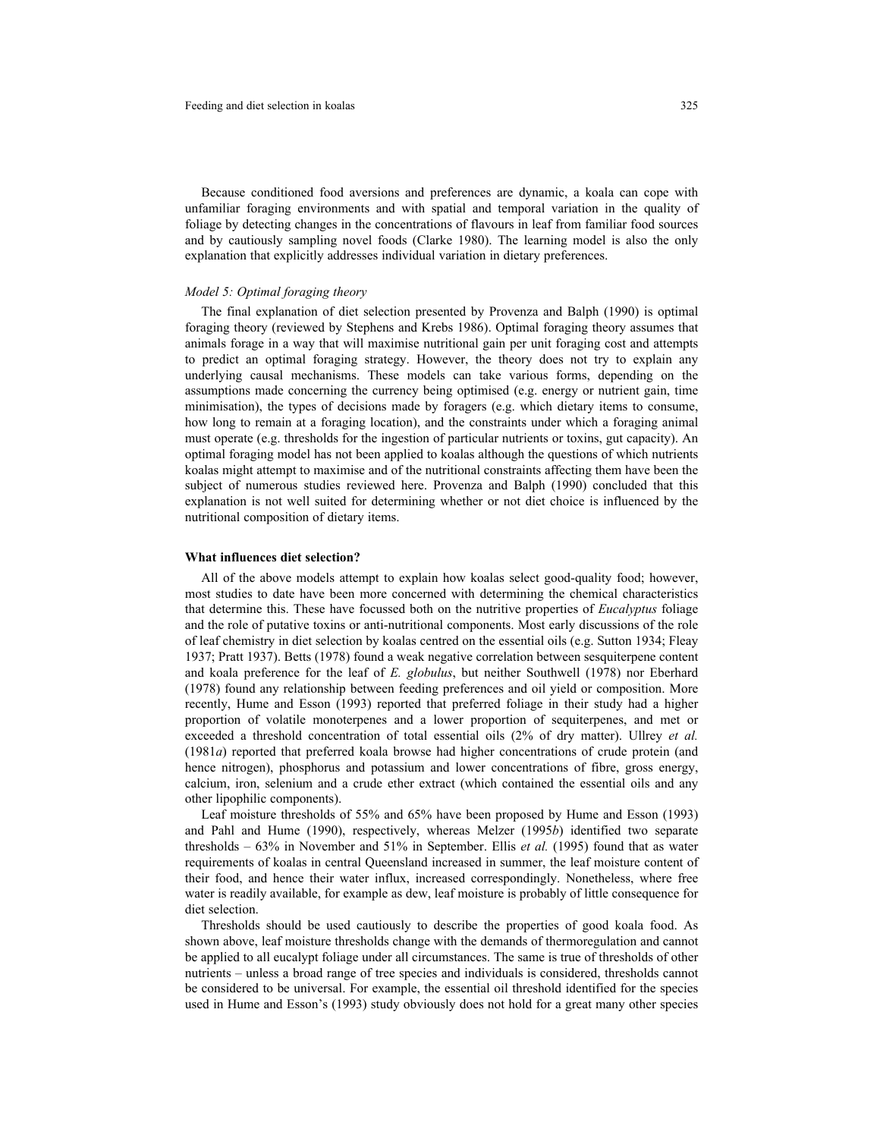Because conditioned food aversions and preferences are dynamic, a koala can cope with unfamiliar foraging environments and with spatial and temporal variation in the quality of foliage by detecting changes in the concentrations of flavours in leaf from familiar food sources and by cautiously sampling novel foods (Clarke 1980). The learning model is also the only explanation that explicitly addresses individual variation in dietary preferences.

# *Model 5: Optimal foraging theory*

The final explanation of diet selection presented by Provenza and Balph (1990) is optimal foraging theory (reviewed by Stephens and Krebs 1986). Optimal foraging theory assumes that animals forage in a way that will maximise nutritional gain per unit foraging cost and attempts to predict an optimal foraging strategy. However, the theory does not try to explain any underlying causal mechanisms. These models can take various forms, depending on the assumptions made concerning the currency being optimised (e.g. energy or nutrient gain, time minimisation), the types of decisions made by foragers (e.g. which dietary items to consume, how long to remain at a foraging location), and the constraints under which a foraging animal must operate (e.g. thresholds for the ingestion of particular nutrients or toxins, gut capacity). An optimal foraging model has not been applied to koalas although the questions of which nutrients koalas might attempt to maximise and of the nutritional constraints affecting them have been the subject of numerous studies reviewed here. Provenza and Balph (1990) concluded that this explanation is not well suited for determining whether or not diet choice is influenced by the nutritional composition of dietary items.

#### **What influences diet selection?**

All of the above models attempt to explain how koalas select good-quality food; however, most studies to date have been more concerned with determining the chemical characteristics that determine this. These have focussed both on the nutritive properties of *Eucalyptus* foliage and the role of putative toxins or anti-nutritional components. Most early discussions of the role of leaf chemistry in diet selection by koalas centred on the essential oils (e.g. Sutton 1934; Fleay 1937; Pratt 1937). Betts (1978) found a weak negative correlation between sesquiterpene content and koala preference for the leaf of *E. globulus*, but neither Southwell (1978) nor Eberhard (1978) found any relationship between feeding preferences and oil yield or composition. More recently, Hume and Esson (1993) reported that preferred foliage in their study had a higher proportion of volatile monoterpenes and a lower proportion of sequiterpenes, and met or exceeded a threshold concentration of total essential oils (2% of dry matter). Ullrey *et al.* (1981*a*) reported that preferred koala browse had higher concentrations of crude protein (and hence nitrogen), phosphorus and potassium and lower concentrations of fibre, gross energy, calcium, iron, selenium and a crude ether extract (which contained the essential oils and any other lipophilic components).

Leaf moisture thresholds of 55% and 65% have been proposed by Hume and Esson (1993) and Pahl and Hume (1990), respectively, whereas Melzer (1995*b*) identified two separate thresholds – 63% in November and 51% in September. Ellis *et al.* (1995) found that as water requirements of koalas in central Queensland increased in summer, the leaf moisture content of their food, and hence their water influx, increased correspondingly. Nonetheless, where free water is readily available, for example as dew, leaf moisture is probably of little consequence for diet selection.

Thresholds should be used cautiously to describe the properties of good koala food. As shown above, leaf moisture thresholds change with the demands of thermoregulation and cannot be applied to all eucalypt foliage under all circumstances. The same is true of thresholds of other nutrients – unless a broad range of tree species and individuals is considered, thresholds cannot be considered to be universal. For example, the essential oil threshold identified for the species used in Hume and Esson's (1993) study obviously does not hold for a great many other species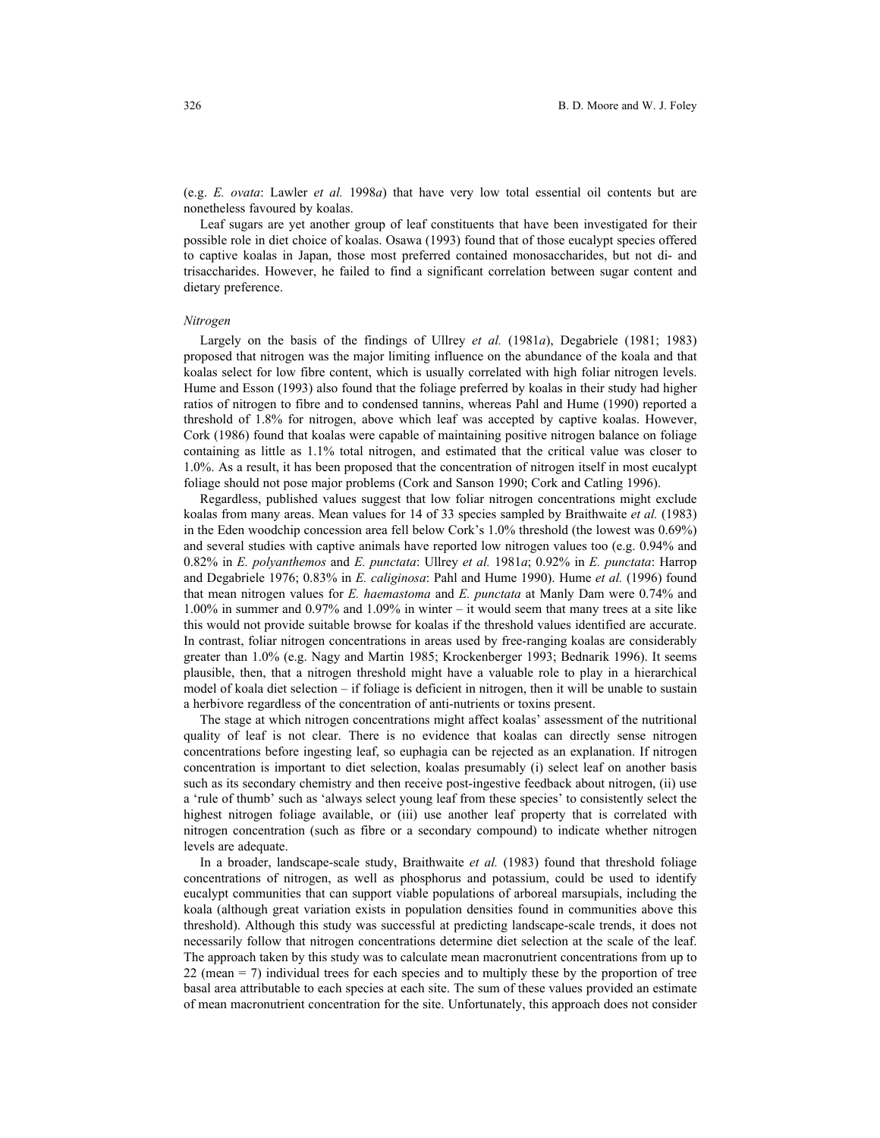(e.g. *E. ovata*: Lawler *et al.* 1998*a*) that have very low total essential oil contents but are nonetheless favoured by koalas.

Leaf sugars are yet another group of leaf constituents that have been investigated for their possible role in diet choice of koalas. Osawa (1993) found that of those eucalypt species offered to captive koalas in Japan, those most preferred contained monosaccharides, but not di- and trisaccharides. However, he failed to find a significant correlation between sugar content and dietary preference.

#### *Nitrogen*

Largely on the basis of the findings of Ullrey *et al.* (1981*a*), Degabriele (1981; 1983) proposed that nitrogen was the major limiting influence on the abundance of the koala and that koalas select for low fibre content, which is usually correlated with high foliar nitrogen levels. Hume and Esson (1993) also found that the foliage preferred by koalas in their study had higher ratios of nitrogen to fibre and to condensed tannins, whereas Pahl and Hume (1990) reported a threshold of 1.8% for nitrogen, above which leaf was accepted by captive koalas. However, Cork (1986) found that koalas were capable of maintaining positive nitrogen balance on foliage containing as little as 1.1% total nitrogen, and estimated that the critical value was closer to 1.0%. As a result, it has been proposed that the concentration of nitrogen itself in most eucalypt foliage should not pose major problems (Cork and Sanson 1990; Cork and Catling 1996).

Regardless, published values suggest that low foliar nitrogen concentrations might exclude koalas from many areas. Mean values for 14 of 33 species sampled by Braithwaite *et al.* (1983) in the Eden woodchip concession area fell below Cork's 1.0% threshold (the lowest was 0.69%) and several studies with captive animals have reported low nitrogen values too (e.g.  $0.94\%$  and 0.82% in *E. polyanthemos* and *E. punctata*: Ullrey *et al.* 1981*a*; 0.92% in *E. punctata*: Harrop and Degabriele 1976; 0.83% in *E. caliginosa*: Pahl and Hume 1990). Hume *et al.* (1996) found that mean nitrogen values for *E. haemastoma* and *E. punctata* at Manly Dam were 0.74% and 1.00% in summer and 0.97% and 1.09% in winter – it would seem that many trees at a site like this would not provide suitable browse for koalas if the threshold values identified are accurate. In contrast, foliar nitrogen concentrations in areas used by free-ranging koalas are considerably greater than 1.0% (e.g. Nagy and Martin 1985; Krockenberger 1993; Bednarik 1996). It seems plausible, then, that a nitrogen threshold might have a valuable role to play in a hierarchical model of koala diet selection – if foliage is deficient in nitrogen, then it will be unable to sustain a herbivore regardless of the concentration of anti-nutrients or toxins present.

The stage at which nitrogen concentrations might affect koalas' assessment of the nutritional quality of leaf is not clear. There is no evidence that koalas can directly sense nitrogen concentrations before ingesting leaf, so euphagia can be rejected as an explanation. If nitrogen concentration is important to diet selection, koalas presumably (i) select leaf on another basis such as its secondary chemistry and then receive post-ingestive feedback about nitrogen, (ii) use a 'rule of thumb' such as 'always select young leaf from these species' to consistently select the highest nitrogen foliage available, or (iii) use another leaf property that is correlated with nitrogen concentration (such as fibre or a secondary compound) to indicate whether nitrogen levels are adequate.

In a broader, landscape-scale study, Braithwaite *et al.* (1983) found that threshold foliage concentrations of nitrogen, as well as phosphorus and potassium, could be used to identify eucalypt communities that can support viable populations of arboreal marsupials, including the koala (although great variation exists in population densities found in communities above this threshold). Although this study was successful at predicting landscape-scale trends, it does not necessarily follow that nitrogen concentrations determine diet selection at the scale of the leaf. The approach taken by this study was to calculate mean macronutrient concentrations from up to  $22$  (mean  $= 7$ ) individual trees for each species and to multiply these by the proportion of tree basal area attributable to each species at each site. The sum of these values provided an estimate of mean macronutrient concentration for the site. Unfortunately, this approach does not consider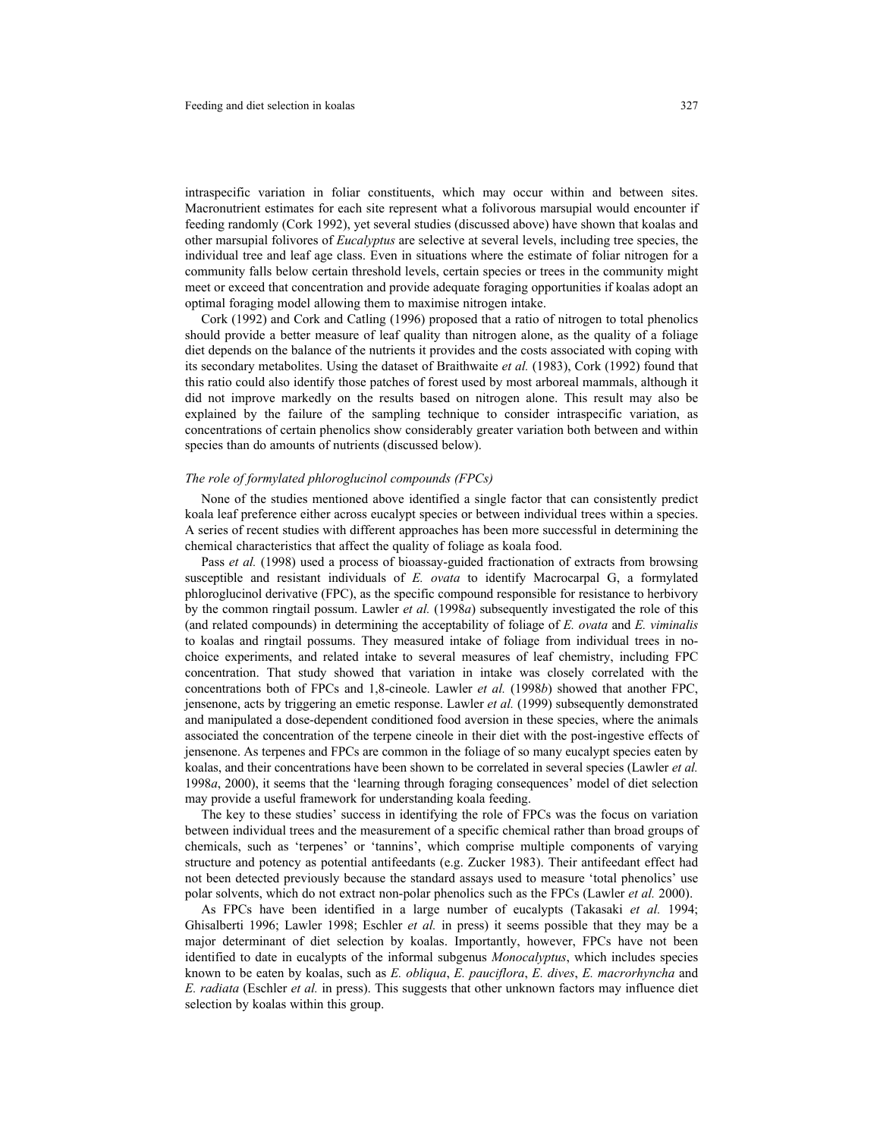intraspecific variation in foliar constituents, which may occur within and between sites. Macronutrient estimates for each site represent what a folivorous marsupial would encounter if feeding randomly (Cork 1992), yet several studies (discussed above) have shown that koalas and other marsupial folivores of *Eucalyptus* are selective at several levels, including tree species, the individual tree and leaf age class. Even in situations where the estimate of foliar nitrogen for a community falls below certain threshold levels, certain species or trees in the community might meet or exceed that concentration and provide adequate foraging opportunities if koalas adopt an optimal foraging model allowing them to maximise nitrogen intake.

Cork (1992) and Cork and Catling (1996) proposed that a ratio of nitrogen to total phenolics should provide a better measure of leaf quality than nitrogen alone, as the quality of a foliage diet depends on the balance of the nutrients it provides and the costs associated with coping with its secondary metabolites. Using the dataset of Braithwaite *et al.* (1983), Cork (1992) found that this ratio could also identify those patches of forest used by most arboreal mammals, although it did not improve markedly on the results based on nitrogen alone. This result may also be explained by the failure of the sampling technique to consider intraspecific variation, as concentrations of certain phenolics show considerably greater variation both between and within species than do amounts of nutrients (discussed below).

## *The role of formylated phloroglucinol compounds (FPCs)*

None of the studies mentioned above identified a single factor that can consistently predict koala leaf preference either across eucalypt species or between individual trees within a species. A series of recent studies with different approaches has been more successful in determining the chemical characteristics that affect the quality of foliage as koala food.

Pass *et al.* (1998) used a process of bioassay-guided fractionation of extracts from browsing susceptible and resistant individuals of *E. ovata* to identify Macrocarpal G, a formylated phloroglucinol derivative (FPC), as the specific compound responsible for resistance to herbivory by the common ringtail possum. Lawler *et al.* (1998*a*) subsequently investigated the role of this (and related compounds) in determining the acceptability of foliage of *E. ovata* and *E. viminalis* to koalas and ringtail possums. They measured intake of foliage from individual trees in nochoice experiments, and related intake to several measures of leaf chemistry, including FPC concentration. That study showed that variation in intake was closely correlated with the concentrations both of FPCs and 1,8-cineole. Lawler *et al.* (1998*b*) showed that another FPC, jensenone, acts by triggering an emetic response. Lawler *et al.* (1999) subsequently demonstrated and manipulated a dose-dependent conditioned food aversion in these species, where the animals associated the concentration of the terpene cineole in their diet with the post-ingestive effects of jensenone. As terpenes and FPCs are common in the foliage of so many eucalypt species eaten by koalas, and their concentrations have been shown to be correlated in several species (Lawler *et al.* 1998*a*, 2000), it seems that the 'learning through foraging consequences' model of diet selection may provide a useful framework for understanding koala feeding.

The key to these studies' success in identifying the role of FPCs was the focus on variation between individual trees and the measurement of a specific chemical rather than broad groups of chemicals, such as 'terpenes' or 'tannins', which comprise multiple components of varying structure and potency as potential antifeedants (e.g. Zucker 1983). Their antifeedant effect had not been detected previously because the standard assays used to measure 'total phenolics' use polar solvents, which do not extract non-polar phenolics such as the FPCs (Lawler *et al.* 2000).

As FPCs have been identified in a large number of eucalypts (Takasaki *et al.* 1994; Ghisalberti 1996; Lawler 1998; Eschler *et al.* in press) it seems possible that they may be a major determinant of diet selection by koalas. Importantly, however, FPCs have not been identified to date in eucalypts of the informal subgenus *Monocalyptus*, which includes species known to be eaten by koalas, such as *E. obliqua*, *E. pauciflora*, *E. dives*, *E. macrorhyncha* and *E. radiata* (Eschler *et al.* in press). This suggests that other unknown factors may influence diet selection by koalas within this group.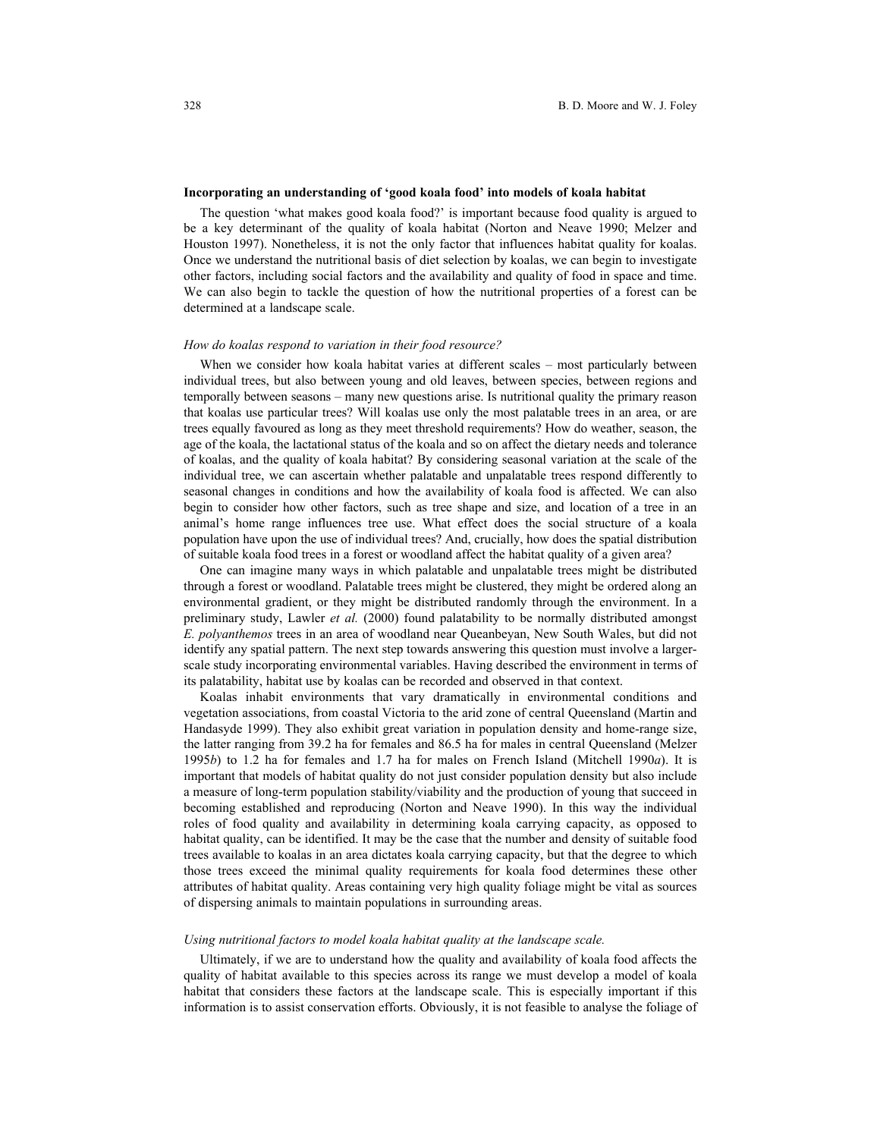#### **Incorporating an understanding of 'good koala food' into models of koala habitat**

The question 'what makes good koala food?' is important because food quality is argued to be a key determinant of the quality of koala habitat (Norton and Neave 1990; Melzer and Houston 1997). Nonetheless, it is not the only factor that influences habitat quality for koalas. Once we understand the nutritional basis of diet selection by koalas, we can begin to investigate other factors, including social factors and the availability and quality of food in space and time. We can also begin to tackle the question of how the nutritional properties of a forest can be determined at a landscape scale.

## *How do koalas respond to variation in their food resource?*

When we consider how koala habitat varies at different scales – most particularly between individual trees, but also between young and old leaves, between species, between regions and temporally between seasons – many new questions arise. Is nutritional quality the primary reason that koalas use particular trees? Will koalas use only the most palatable trees in an area, or are trees equally favoured as long as they meet threshold requirements? How do weather, season, the age of the koala, the lactational status of the koala and so on affect the dietary needs and tolerance of koalas, and the quality of koala habitat? By considering seasonal variation at the scale of the individual tree, we can ascertain whether palatable and unpalatable trees respond differently to seasonal changes in conditions and how the availability of koala food is affected. We can also begin to consider how other factors, such as tree shape and size, and location of a tree in an animal's home range influences tree use. What effect does the social structure of a koala population have upon the use of individual trees? And, crucially, how does the spatial distribution of suitable koala food trees in a forest or woodland affect the habitat quality of a given area?

One can imagine many ways in which palatable and unpalatable trees might be distributed through a forest or woodland. Palatable trees might be clustered, they might be ordered along an environmental gradient, or they might be distributed randomly through the environment. In a preliminary study, Lawler *et al.* (2000) found palatability to be normally distributed amongst *E. polyanthemos* trees in an area of woodland near Queanbeyan, New South Wales, but did not identify any spatial pattern. The next step towards answering this question must involve a largerscale study incorporating environmental variables. Having described the environment in terms of its palatability, habitat use by koalas can be recorded and observed in that context.

Koalas inhabit environments that vary dramatically in environmental conditions and vegetation associations, from coastal Victoria to the arid zone of central Queensland (Martin and Handasyde 1999). They also exhibit great variation in population density and home-range size, the latter ranging from 39.2 ha for females and 86.5 ha for males in central Queensland (Melzer 1995*b*) to 1.2 ha for females and 1.7 ha for males on French Island (Mitchell 1990*a*). It is important that models of habitat quality do not just consider population density but also include a measure of long-term population stability/viability and the production of young that succeed in becoming established and reproducing (Norton and Neave 1990). In this way the individual roles of food quality and availability in determining koala carrying capacity, as opposed to habitat quality, can be identified. It may be the case that the number and density of suitable food trees available to koalas in an area dictates koala carrying capacity, but that the degree to which those trees exceed the minimal quality requirements for koala food determines these other attributes of habitat quality. Areas containing very high quality foliage might be vital as sources of dispersing animals to maintain populations in surrounding areas.

#### *Using nutritional factors to model koala habitat quality at the landscape scale.*

Ultimately, if we are to understand how the quality and availability of koala food affects the quality of habitat available to this species across its range we must develop a model of koala habitat that considers these factors at the landscape scale. This is especially important if this information is to assist conservation efforts. Obviously, it is not feasible to analyse the foliage of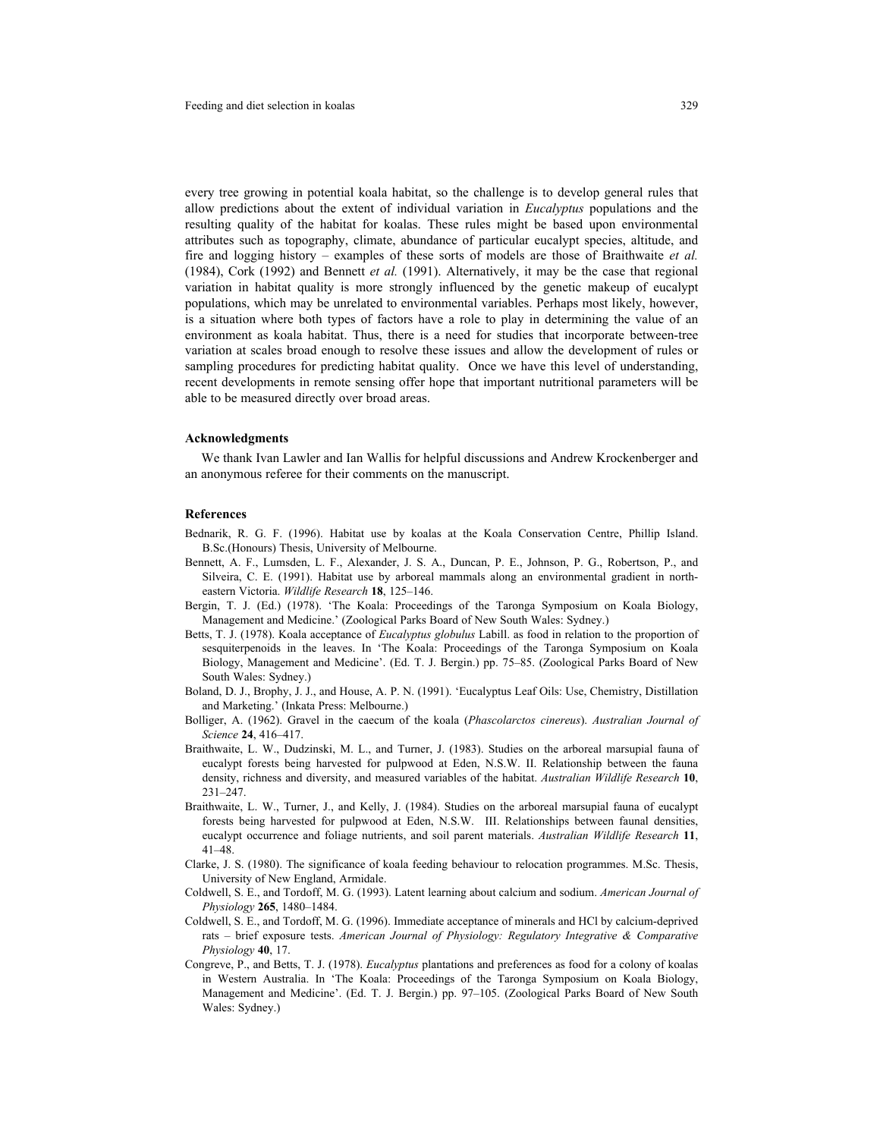every tree growing in potential koala habitat, so the challenge is to develop general rules that allow predictions about the extent of individual variation in *Eucalyptus* populations and the resulting quality of the habitat for koalas. These rules might be based upon environmental attributes such as topography, climate, abundance of particular eucalypt species, altitude, and fire and logging history – examples of these sorts of models are those of Braithwaite *et al.* (1984), Cork (1992) and Bennett *et al.* (1991). Alternatively, it may be the case that regional variation in habitat quality is more strongly influenced by the genetic makeup of eucalypt populations, which may be unrelated to environmental variables. Perhaps most likely, however, is a situation where both types of factors have a role to play in determining the value of an environment as koala habitat. Thus, there is a need for studies that incorporate between-tree variation at scales broad enough to resolve these issues and allow the development of rules or sampling procedures for predicting habitat quality. Once we have this level of understanding, recent developments in remote sensing offer hope that important nutritional parameters will be able to be measured directly over broad areas.

#### **Acknowledgments**

We thank Ivan Lawler and Ian Wallis for helpful discussions and Andrew Krockenberger and an anonymous referee for their comments on the manuscript.

## **References**

- Bednarik, R. G. F. (1996). Habitat use by koalas at the Koala Conservation Centre, Phillip Island. B.Sc.(Honours) Thesis, University of Melbourne.
- Bennett, A. F., Lumsden, L. F., Alexander, J. S. A., Duncan, P. E., Johnson, P. G., Robertson, P., and Silveira, C. E. (1991). Habitat use by arboreal mammals along an environmental gradient in northeastern Victoria. *Wildlife Research* **18**, 125–146.
- Bergin, T. J. (Ed.) (1978). 'The Koala: Proceedings of the Taronga Symposium on Koala Biology, Management and Medicine.' (Zoological Parks Board of New South Wales: Sydney.)
- Betts, T. J. (1978). Koala acceptance of *Eucalyptus globulus* Labill. as food in relation to the proportion of sesquiterpenoids in the leaves. In 'The Koala: Proceedings of the Taronga Symposium on Koala Biology, Management and Medicine'. (Ed. T. J. Bergin.) pp. 75–85. (Zoological Parks Board of New South Wales: Sydney.)
- Boland, D. J., Brophy, J. J., and House, A. P. N. (1991). 'Eucalyptus Leaf Oils: Use, Chemistry, Distillation and Marketing.' (Inkata Press: Melbourne.)
- Bolliger, A. (1962). Gravel in the caecum of the koala (*Phascolarctos cinereus*). *Australian Journal of Science* **24**, 416–417.
- Braithwaite, L. W., Dudzinski, M. L., and Turner, J. (1983). Studies on the arboreal marsupial fauna of eucalypt forests being harvested for pulpwood at Eden, N.S.W. II. Relationship between the fauna density, richness and diversity, and measured variables of the habitat. *Australian Wildlife Research* **10**, 231–247.
- Braithwaite, L. W., Turner, J., and Kelly, J. (1984). Studies on the arboreal marsupial fauna of eucalypt forests being harvested for pulpwood at Eden, N.S.W. III. Relationships between faunal densities, eucalypt occurrence and foliage nutrients, and soil parent materials. *Australian Wildlife Research* **11**, 41–48.
- Clarke, J. S. (1980). The significance of koala feeding behaviour to relocation programmes. M.Sc. Thesis, University of New England, Armidale.
- Coldwell, S. E., and Tordoff, M. G. (1993). Latent learning about calcium and sodium. *American Journal of Physiology* **265**, 1480–1484.
- Coldwell, S. E., and Tordoff, M. G. (1996). Immediate acceptance of minerals and HCl by calcium-deprived rats – brief exposure tests. *American Journal of Physiology: Regulatory Integrative & Comparative Physiology* **40**, 17.
- Congreve, P., and Betts, T. J. (1978). *Eucalyptus* plantations and preferences as food for a colony of koalas in Western Australia. In 'The Koala: Proceedings of the Taronga Symposium on Koala Biology, Management and Medicine'. (Ed. T. J. Bergin.) pp. 97–105. (Zoological Parks Board of New South Wales: Sydney.)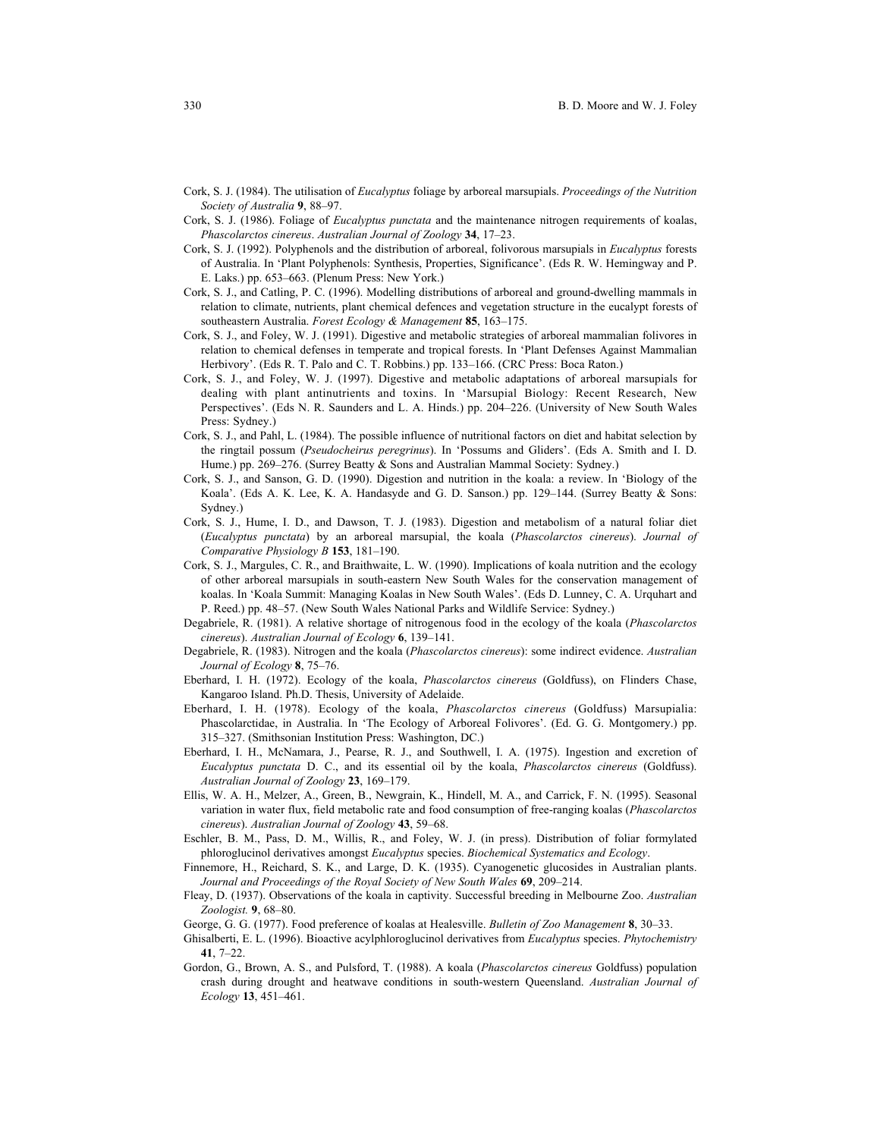- Cork, S. J. (1984). The utilisation of *Eucalyptus* foliage by arboreal marsupials. *Proceedings of the Nutrition Society of Australia* **9**, 88–97.
- Cork, S. J. (1986). Foliage of *Eucalyptus punctata* and the maintenance nitrogen requirements of koalas, *Phascolarctos cinereus*. *Australian Journal of Zoology* **34**, 17–23.
- Cork, S. J. (1992). Polyphenols and the distribution of arboreal, folivorous marsupials in *Eucalyptus* forests of Australia. In 'Plant Polyphenols: Synthesis, Properties, Significance'. (Eds R. W. Hemingway and P. E. Laks.) pp. 653–663. (Plenum Press: New York.)
- Cork, S. J., and Catling, P. C. (1996). Modelling distributions of arboreal and ground-dwelling mammals in relation to climate, nutrients, plant chemical defences and vegetation structure in the eucalypt forests of southeastern Australia. *Forest Ecology & Management* **85**, 163–175.
- Cork, S. J., and Foley, W. J. (1991). Digestive and metabolic strategies of arboreal mammalian folivores in relation to chemical defenses in temperate and tropical forests. In 'Plant Defenses Against Mammalian Herbivory'. (Eds R. T. Palo and C. T. Robbins.) pp. 133–166. (CRC Press: Boca Raton.)
- Cork, S. J., and Foley, W. J. (1997). Digestive and metabolic adaptations of arboreal marsupials for dealing with plant antinutrients and toxins. In 'Marsupial Biology: Recent Research, New Perspectives'. (Eds N. R. Saunders and L. A. Hinds.) pp. 204–226. (University of New South Wales Press: Sydney.)
- Cork, S. J., and Pahl, L. (1984). The possible influence of nutritional factors on diet and habitat selection by the ringtail possum (*Pseudocheirus peregrinus*). In 'Possums and Gliders'. (Eds A. Smith and I. D. Hume.) pp. 269–276. (Surrey Beatty & Sons and Australian Mammal Society: Sydney.)
- Cork, S. J., and Sanson, G. D. (1990). Digestion and nutrition in the koala: a review. In 'Biology of the Koala'. (Eds A. K. Lee, K. A. Handasyde and G. D. Sanson.) pp. 129–144. (Surrey Beatty & Sons: Sydney.)
- Cork, S. J., Hume, I. D., and Dawson, T. J. (1983). Digestion and metabolism of a natural foliar diet (*Eucalyptus punctata*) by an arboreal marsupial, the koala (*Phascolarctos cinereus*). *Journal of Comparative Physiology B* **153**, 181–190.
- Cork, S. J., Margules, C. R., and Braithwaite, L. W. (1990). Implications of koala nutrition and the ecology of other arboreal marsupials in south-eastern New South Wales for the conservation management of koalas. In 'Koala Summit: Managing Koalas in New South Wales'. (Eds D. Lunney, C. A. Urquhart and P. Reed.) pp. 48–57. (New South Wales National Parks and Wildlife Service: Sydney.)
- Degabriele, R. (1981). A relative shortage of nitrogenous food in the ecology of the koala (*Phascolarctos cinereus*). *Australian Journal of Ecology* **6**, 139–141.
- Degabriele, R. (1983). Nitrogen and the koala (*Phascolarctos cinereus*): some indirect evidence. *Australian Journal of Ecology* **8**, 75–76.
- Eberhard, I. H. (1972). Ecology of the koala, *Phascolarctos cinereus* (Goldfuss), on Flinders Chase, Kangaroo Island. Ph.D. Thesis, University of Adelaide.
- Eberhard, I. H. (1978). Ecology of the koala, *Phascolarctos cinereus* (Goldfuss) Marsupialia: Phascolarctidae, in Australia. In 'The Ecology of Arboreal Folivores'. (Ed. G. G. Montgomery.) pp. 315–327. (Smithsonian Institution Press: Washington, DC.)
- Eberhard, I. H., McNamara, J., Pearse, R. J., and Southwell, I. A. (1975). Ingestion and excretion of *Eucalyptus punctata* D. C., and its essential oil by the koala, *Phascolarctos cinereus* (Goldfuss). *Australian Journal of Zoology* **23**, 169–179.
- Ellis, W. A. H., Melzer, A., Green, B., Newgrain, K., Hindell, M. A., and Carrick, F. N. (1995). Seasonal variation in water flux, field metabolic rate and food consumption of free-ranging koalas (*Phascolarctos cinereus*). *Australian Journal of Zoology* **43**, 59–68.
- Eschler, B. M., Pass, D. M., Willis, R., and Foley, W. J. (in press). Distribution of foliar formylated phloroglucinol derivatives amongst *Eucalyptus* species. *Biochemical Systematics and Ecology*.
- Finnemore, H., Reichard, S. K., and Large, D. K. (1935). Cyanogenetic glucosides in Australian plants. *Journal and Proceedings of the Royal Society of New South Wales* **69**, 209–214.
- Fleay, D. (1937). Observations of the koala in captivity. Successful breeding in Melbourne Zoo. *Australian Zoologist.* **9**, 68–80.
- George, G. G. (1977). Food preference of koalas at Healesville. *Bulletin of Zoo Management* **8**, 30–33.
- Ghisalberti, E. L. (1996). Bioactive acylphloroglucinol derivatives from *Eucalyptus* species. *Phytochemistry* **41**, 7–22.
- Gordon, G., Brown, A. S., and Pulsford, T. (1988). A koala (*Phascolarctos cinereus* Goldfuss) population crash during drought and heatwave conditions in south-western Queensland. *Australian Journal of Ecology* **13**, 451–461.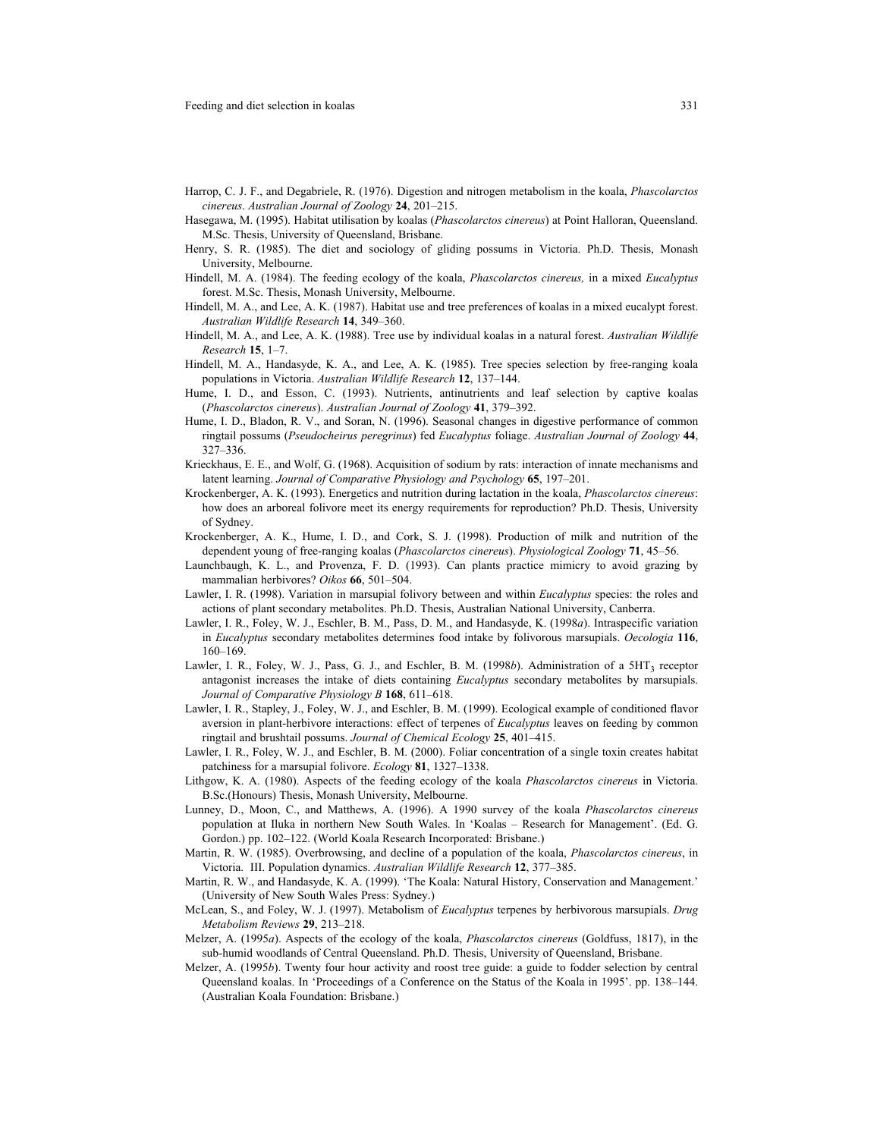- Harrop, C. J. F., and Degabriele, R. (1976). Digestion and nitrogen metabolism in the koala, *Phascolarctos cinereus*. *Australian Journal of Zoology* **24**, 201–215.
- Hasegawa, M. (1995). Habitat utilisation by koalas (*Phascolarctos cinereus*) at Point Halloran, Queensland. M.Sc. Thesis, University of Queensland, Brisbane.
- Henry, S. R. (1985). The diet and sociology of gliding possums in Victoria. Ph.D. Thesis, Monash University, Melbourne.
- Hindell, M. A. (1984). The feeding ecology of the koala, *Phascolarctos cinereus,* in a mixed *Eucalyptus* forest. M.Sc. Thesis, Monash University, Melbourne.
- Hindell, M. A., and Lee, A. K. (1987). Habitat use and tree preferences of koalas in a mixed eucalypt forest. *Australian Wildlife Research* **14**, 349–360.
- Hindell, M. A., and Lee, A. K. (1988). Tree use by individual koalas in a natural forest. *Australian Wildlife Research* **15**, 1–7.
- Hindell, M. A., Handasyde, K. A., and Lee, A. K. (1985). Tree species selection by free-ranging koala populations in Victoria. *Australian Wildlife Research* **12**, 137–144.
- Hume, I. D., and Esson, C. (1993). Nutrients, antinutrients and leaf selection by captive koalas (*Phascolarctos cinereus*). *Australian Journal of Zoology* **41**, 379–392.
- Hume, I. D., Bladon, R. V., and Soran, N. (1996). Seasonal changes in digestive performance of common ringtail possums (*Pseudocheirus peregrinus*) fed *Eucalyptus* foliage. *Australian Journal of Zoology* **44**, 327–336.
- Krieckhaus, E. E., and Wolf, G. (1968). Acquisition of sodium by rats: interaction of innate mechanisms and latent learning. *Journal of Comparative Physiology and Psychology* **65**, 197–201.
- Krockenberger, A. K. (1993). Energetics and nutrition during lactation in the koala, *Phascolarctos cinereus*: how does an arboreal folivore meet its energy requirements for reproduction? Ph.D. Thesis, University of Sydney.
- Krockenberger, A. K., Hume, I. D., and Cork, S. J. (1998). Production of milk and nutrition of the dependent young of free-ranging koalas (*Phascolarctos cinereus*). *Physiological Zoology* **71**, 45–56.
- Launchbaugh, K. L., and Provenza, F. D. (1993). Can plants practice mimicry to avoid grazing by mammalian herbivores? *Oikos* **66**, 501–504.
- Lawler, I. R. (1998). Variation in marsupial folivory between and within *Eucalyptus* species: the roles and actions of plant secondary metabolites. Ph.D. Thesis, Australian National University, Canberra.
- Lawler, I. R., Foley, W. J., Eschler, B. M., Pass, D. M., and Handasyde, K. (1998*a*). Intraspecific variation in *Eucalyptus* secondary metabolites determines food intake by folivorous marsupials. *Oecologia* **116**, 160–169.
- Lawler, I. R., Foley, W. J., Pass, G. J., and Eschler, B. M. (1998*b*). Administration of a 5HT<sub>3</sub> receptor antagonist increases the intake of diets containing *Eucalyptus* secondary metabolites by marsupials. *Journal of Comparative Physiology B* **168**, 611–618.
- Lawler, I. R., Stapley, J., Foley, W. J., and Eschler, B. M. (1999). Ecological example of conditioned flavor aversion in plant-herbivore interactions: effect of terpenes of *Eucalyptus* leaves on feeding by common ringtail and brushtail possums. *Journal of Chemical Ecology* **25**, 401–415.
- Lawler, I. R., Foley, W. J., and Eschler, B. M. (2000). Foliar concentration of a single toxin creates habitat patchiness for a marsupial folivore. *Ecology* **81**, 1327–1338.
- Lithgow, K. A. (1980). Aspects of the feeding ecology of the koala *Phascolarctos cinereus* in Victoria. B.Sc.(Honours) Thesis, Monash University, Melbourne.
- Lunney, D., Moon, C., and Matthews, A. (1996). A 1990 survey of the koala *Phascolarctos cinereus* population at Iluka in northern New South Wales. In 'Koalas – Research for Management'. (Ed. G. Gordon.) pp. 102–122. (World Koala Research Incorporated: Brisbane.)
- Martin, R. W. (1985). Overbrowsing, and decline of a population of the koala, *Phascolarctos cinereus*, in Victoria. III. Population dynamics. *Australian Wildlife Research* **12**, 377–385.
- Martin, R. W., and Handasyde, K. A. (1999). 'The Koala: Natural History, Conservation and Management.' (University of New South Wales Press: Sydney.)
- McLean, S., and Foley, W. J. (1997). Metabolism of *Eucalyptus* terpenes by herbivorous marsupials. *Drug Metabolism Reviews* **29**, 213–218.
- Melzer, A. (1995*a*). Aspects of the ecology of the koala, *Phascolarctos cinereus* (Goldfuss, 1817), in the sub-humid woodlands of Central Queensland. Ph.D. Thesis, University of Queensland, Brisbane.
- Melzer, A. (1995*b*). Twenty four hour activity and roost tree guide: a guide to fodder selection by central Queensland koalas. In 'Proceedings of a Conference on the Status of the Koala in 1995'. pp. 138–144. (Australian Koala Foundation: Brisbane.)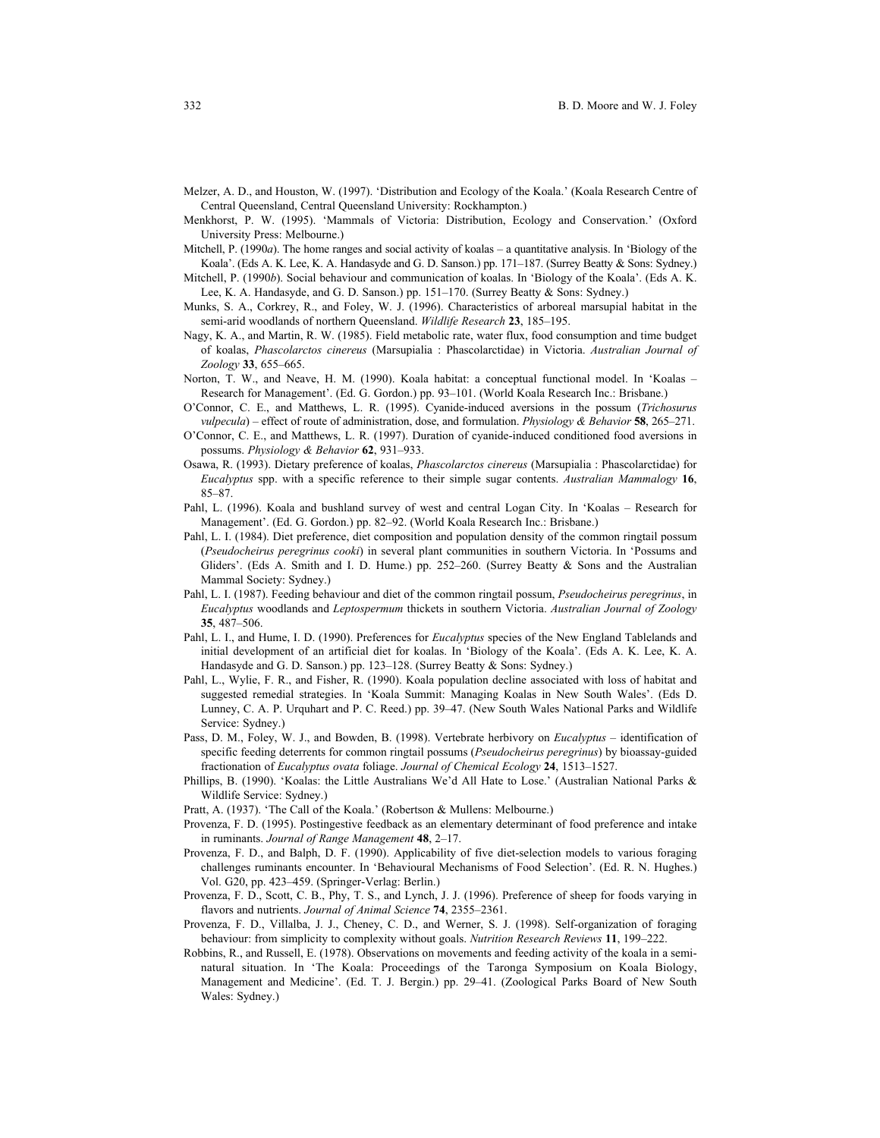- Melzer, A. D., and Houston, W. (1997). 'Distribution and Ecology of the Koala.' (Koala Research Centre of Central Queensland, Central Queensland University: Rockhampton.)
- Menkhorst, P. W. (1995). 'Mammals of Victoria: Distribution, Ecology and Conservation.' (Oxford University Press: Melbourne.)
- Mitchell, P. (1990*a*). The home ranges and social activity of koalas a quantitative analysis. In 'Biology of the Koala'. (Eds A. K. Lee, K. A. Handasyde and G. D. Sanson.) pp. 171–187. (Surrey Beatty & Sons: Sydney.)
- Mitchell, P. (1990*b*). Social behaviour and communication of koalas. In 'Biology of the Koala'. (Eds A. K. Lee, K. A. Handasyde, and G. D. Sanson.) pp. 151–170. (Surrey Beatty & Sons: Sydney.)
- Munks, S. A., Corkrey, R., and Foley, W. J. (1996). Characteristics of arboreal marsupial habitat in the semi-arid woodlands of northern Queensland. *Wildlife Research* **23**, 185–195.
- Nagy, K. A., and Martin, R. W. (1985). Field metabolic rate, water flux, food consumption and time budget of koalas, *Phascolarctos cinereus* (Marsupialia : Phascolarctidae) in Victoria. *Australian Journal of Zoology* **33**, 655–665.
- Norton, T. W., and Neave, H. M. (1990). Koala habitat: a conceptual functional model. In 'Koalas Research for Management'. (Ed. G. Gordon.) pp. 93–101. (World Koala Research Inc.: Brisbane.)
- O'Connor, C. E., and Matthews, L. R. (1995). Cyanide-induced aversions in the possum (*Trichosurus vulpecula*) – effect of route of administration, dose, and formulation. *Physiology & Behavior* **58**, 265–271.
- O'Connor, C. E., and Matthews, L. R. (1997). Duration of cyanide-induced conditioned food aversions in possums. *Physiology & Behavior* **62**, 931–933.
- Osawa, R. (1993). Dietary preference of koalas, *Phascolarctos cinereus* (Marsupialia : Phascolarctidae) for *Eucalyptus* spp. with a specific reference to their simple sugar contents. *Australian Mammalogy* **16**, 85–87.
- Pahl, L. (1996). Koala and bushland survey of west and central Logan City. In 'Koalas Research for Management'. (Ed. G. Gordon.) pp. 82–92. (World Koala Research Inc.: Brisbane.)
- Pahl, L. I. (1984). Diet preference, diet composition and population density of the common ringtail possum (*Pseudocheirus peregrinus cooki*) in several plant communities in southern Victoria. In 'Possums and Gliders'. (Eds A. Smith and I. D. Hume.) pp. 252–260. (Surrey Beatty & Sons and the Australian Mammal Society: Sydney.)
- Pahl, L. I. (1987). Feeding behaviour and diet of the common ringtail possum, *Pseudocheirus peregrinus*, in *Eucalyptus* woodlands and *Leptospermum* thickets in southern Victoria. *Australian Journal of Zoology* **35**, 487–506.
- Pahl, L. I., and Hume, I. D. (1990). Preferences for *Eucalyptus* species of the New England Tablelands and initial development of an artificial diet for koalas. In 'Biology of the Koala'. (Eds A. K. Lee, K. A. Handasyde and G. D. Sanson.) pp. 123–128. (Surrey Beatty & Sons: Sydney.)
- Pahl, L., Wylie, F. R., and Fisher, R. (1990). Koala population decline associated with loss of habitat and suggested remedial strategies. In 'Koala Summit: Managing Koalas in New South Wales'. (Eds D. Lunney, C. A. P. Urquhart and P. C. Reed.) pp. 39–47. (New South Wales National Parks and Wildlife Service: Sydney.)
- Pass, D. M., Foley, W. J., and Bowden, B. (1998). Vertebrate herbivory on *Eucalyptus* identification of specific feeding deterrents for common ringtail possums (*Pseudocheirus peregrinus*) by bioassay-guided fractionation of *Eucalyptus ovata* foliage. *Journal of Chemical Ecology* **24**, 1513–1527.
- Phillips, B. (1990). 'Koalas: the Little Australians We'd All Hate to Lose.' (Australian National Parks & Wildlife Service: Sydney.)
- Pratt, A. (1937). 'The Call of the Koala.' (Robertson & Mullens: Melbourne.)
- Provenza, F. D. (1995). Postingestive feedback as an elementary determinant of food preference and intake in ruminants. *Journal of Range Management* **48**, 2–17.
- Provenza, F. D., and Balph, D. F. (1990). Applicability of five diet-selection models to various foraging challenges ruminants encounter. In 'Behavioural Mechanisms of Food Selection'. (Ed. R. N. Hughes.) Vol. G20, pp. 423–459. (Springer-Verlag: Berlin.)
- Provenza, F. D., Scott, C. B., Phy, T. S., and Lynch, J. J. (1996). Preference of sheep for foods varying in flavors and nutrients. *Journal of Animal Science* **74**, 2355–2361.
- Provenza, F. D., Villalba, J. J., Cheney, C. D., and Werner, S. J. (1998). Self-organization of foraging behaviour: from simplicity to complexity without goals. *Nutrition Research Reviews* **11**, 199–222.
- Robbins, R., and Russell, E. (1978). Observations on movements and feeding activity of the koala in a seminatural situation. In 'The Koala: Proceedings of the Taronga Symposium on Koala Biology, Management and Medicine'. (Ed. T. J. Bergin.) pp. 29–41. (Zoological Parks Board of New South Wales: Sydney.)